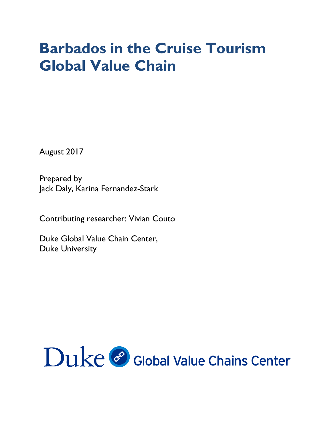# **Barbados in the Cruise Tourism Global Value Chain**

August 2017

Prepared by Jack Daly, Karina Fernandez-Stark

Contributing researcher: Vivian Couto

Duke Global Value Chain Center, Duke University

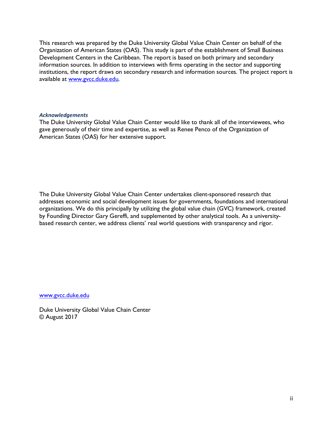This research was prepared by the Duke University Global Value Chain Center on behalf of the Organization of American States (OAS). This study is part of the establishment of Small Business Development Centers in the Caribbean. The report is based on both primary and secondary information sources. In addition to interviews with firms operating in the sector and supporting institutions, the report draws on secondary research and information sources. The project report is available at www.gvcc.duke.edu.

#### *Acknowledgements*

The Duke University Global Value Chain Center would like to thank all of the interviewees, who gave generously of their time and expertise, as well as Renee Penco of the Organization of American States (OAS) for her extensive support.

The Duke University Global Value Chain Center undertakes client-sponsored research that addresses economic and social development issues for governments, foundations and international organizations. We do this principally by utilizing the global value chain (GVC) framework, created by Founding Director Gary Gereffi, and supplemented by other analytical tools. As a universitybased research center, we address clients' real world questions with transparency and rigor.

www.gvcc.duke.edu

Duke University Global Value Chain Center © August 2017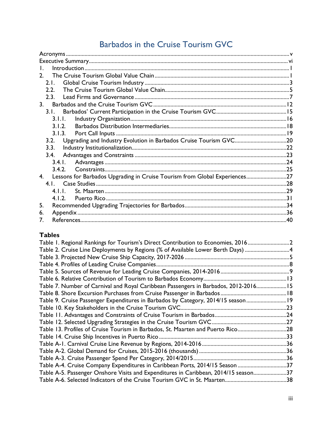## Barbados in the Cruise Tourism GVC

| L.                                                                               |  |
|----------------------------------------------------------------------------------|--|
| $\mathcal{P}$                                                                    |  |
| 2.1.                                                                             |  |
| 2.2.                                                                             |  |
|                                                                                  |  |
|                                                                                  |  |
| 3.1.                                                                             |  |
| 3.1.1.                                                                           |  |
| 3.1.2.                                                                           |  |
|                                                                                  |  |
| 3.2. Upgrading and Industry Evolution in Barbados Cruise Tourism GVC20           |  |
| 3.3.                                                                             |  |
| 3.4.                                                                             |  |
| 3.4.1.                                                                           |  |
| 342                                                                              |  |
| Lessons for Barbados Upgrading in Cruise Tourism from Global Experiences27<br>4. |  |
|                                                                                  |  |
| 4                                                                                |  |
|                                                                                  |  |
| 5.                                                                               |  |
| 6.                                                                               |  |
| 7.                                                                               |  |

## **Tables**

| Table 1. Regional Rankings for Tourism's Direct Contribution to Economies, 20162     |  |
|--------------------------------------------------------------------------------------|--|
| Table 2. Cruise Line Deployments by Regions (% of Available Lower Berth Days) 4      |  |
|                                                                                      |  |
|                                                                                      |  |
|                                                                                      |  |
|                                                                                      |  |
| Table 7. Number of Carnival and Royal Caribbean Passengers in Barbados, 2012-2016 15 |  |
|                                                                                      |  |
| Table 9. Cruise Passenger Expenditures in Barbados by Category, 2014/15 season 19    |  |
|                                                                                      |  |
|                                                                                      |  |
|                                                                                      |  |
| Table 13. Profiles of Cruise Tourism in Barbados, St. Maarten and Puerto Rico28      |  |
|                                                                                      |  |
|                                                                                      |  |
|                                                                                      |  |
|                                                                                      |  |
| Table A-4. Cruise Company Expenditures in Caribbean Ports, 2014/15 Season 37         |  |
| Table A-5. Passenger Onshore Visits and Expenditures in Caribbean, 2014/15 season37  |  |
|                                                                                      |  |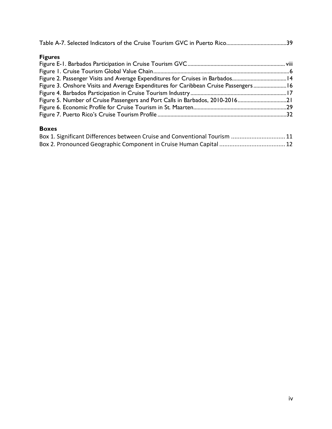| <b>Figures</b>                                                                       |  |
|--------------------------------------------------------------------------------------|--|
|                                                                                      |  |
|                                                                                      |  |
| Figure 2. Passenger Visits and Average Expenditures for Cruises in Barbados14        |  |
| Figure 3. Onshore Visits and Average Expenditures for Caribbean Cruise Passengers 16 |  |
|                                                                                      |  |
| Figure 5. Number of Cruise Passengers and Port Calls in Barbados, 2010-201621        |  |
|                                                                                      |  |
|                                                                                      |  |
|                                                                                      |  |

## **Boxes**

| Box 1. Significant Differences between Cruise and Conventional Tourism  11 |  |
|----------------------------------------------------------------------------|--|
|                                                                            |  |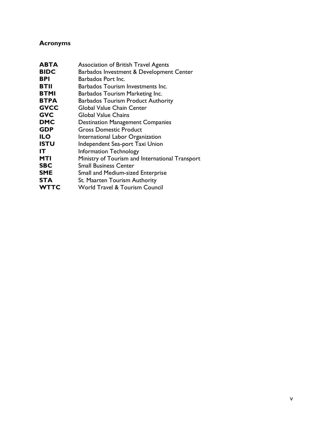## **Acronyms**

| ABTA        | Association of British Travel Agents            |
|-------------|-------------------------------------------------|
| <b>BIDC</b> | Barbados Investment & Development Center        |
| <b>BPI</b>  | Barbados Port Inc.                              |
| <b>BTII</b> | Barbados Tourism Investments Inc.               |
| <b>BTMI</b> | Barbados Tourism Marketing Inc.                 |
| <b>BTPA</b> | <b>Barbados Tourism Product Authority</b>       |
| <b>GVCC</b> | Global Value Chain Center                       |
| <b>GVC</b>  | Global Value Chains                             |
| <b>DMC</b>  | <b>Destination Management Companies</b>         |
| <b>GDP</b>  | <b>Gross Domestic Product</b>                   |
| ILO         | International Labor Organization                |
| <b>ISTU</b> | Independent Sea-port Taxi Union                 |
| IT          | Information Technology                          |
| <b>MTI</b>  | Ministry of Tourism and International Transport |
| <b>SBC</b>  | <b>Small Business Center</b>                    |
| <b>SME</b>  | <b>Small and Medium-sized Enterprise</b>        |
| <b>STA</b>  | St. Maarten Tourism Authority                   |
| <b>WTTC</b> | <b>World Travel &amp; Tourism Council</b>       |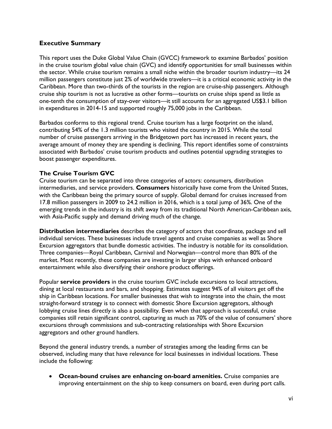#### **Executive Summary**

This report uses the Duke Global Value Chain (GVCC) framework to examine Barbados' position in the cruise tourism global value chain (GVC) and identify opportunities for small businesses within the sector. While cruise tourism remains a small niche within the broader tourism industry—its 24 million passengers constitute just 2% of worldwide travelers—it is a critical economic activity in the Caribbean. More than two-thirds of the tourists in the region are cruise-ship passengers. Although cruise ship tourism is not as lucrative as other forms—tourists on cruise ships spend as little as one-tenth the consumption of stay-over visitors—it still accounts for an aggregated US\$3.1 billion in expenditures in 2014-15 and supported roughly 75,000 jobs in the Caribbean.

Barbados conforms to this regional trend. Cruise tourism has a large footprint on the island, contributing 54% of the 1.3 million tourists who visited the country in 2015. While the total number of cruise passengers arriving in the Bridgetown port has increased in recent years, the average amount of money they are spending is declining. This report identifies some of constraints associated with Barbados' cruise tourism products and outlines potential upgrading strategies to boost passenger expenditures.

#### **The Cruise Tourism GVC**

Cruise tourism can be separated into three categories of actors: consumers, distribution intermediaries, and service providers. **Consumers** historically have come from the United States, with the Caribbean being the primary source of supply. Global demand for cruises increased from 17.8 million passengers in 2009 to 24.2 million in 2016, which is a total jump of 36%. One of the emerging trends in the industry is its shift away from its traditional North American-Caribbean axis, with Asia-Pacific supply and demand driving much of the change.

**Distribution intermediaries** describes the category of actors that coordinate, package and sell individual services. These businesses include travel agents and cruise companies as well as Shore Excursion aggregators that bundle domestic activities. The industry is notable for its consolidation. Three companies—Royal Caribbean, Carnival and Norwegian—control more than 80% of the market. Most recently, these companies are investing in larger ships with enhanced onboard entertainment while also diversifying their onshore product offerings.

Popular **service providers** in the cruise tourism GVC include excursions to local attractions, dining at local restaurants and bars, and shopping. Estimates suggest 94% of all visitors get off the ship in Caribbean locations. For smaller businesses that wish to integrate into the chain, the most straight-forward strategy is to connect with domestic Shore Excursion aggregators, although lobbying cruise lines directly is also a possibility. Even when that approach is successful, cruise companies still retain significant control, capturing as much as 70% of the value of consumers' shore excursions through commissions and sub-contracting relationships with Shore Excursion aggregators and other ground handlers.

Beyond the general industry trends, a number of strategies among the leading firms can be observed, including many that have relevance for local businesses in individual locations. These include the following:

• **Ocean-bound cruises are enhancing on-board amenities.** Cruise companies are improving entertainment on the ship to keep consumers on board, even during port calls.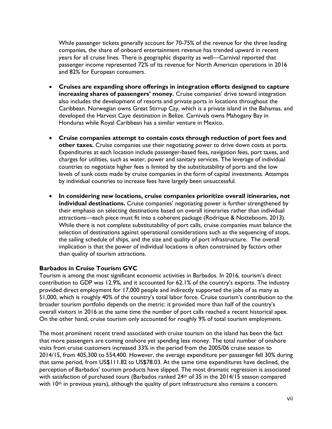While passenger tickets generally account for 70-75% of the revenue for the three leading companies, the share of onboard entertainment revenue has trended upward in recent years for all cruise lines. There is geographic disparity as well—Carnival reported that passenger income represented 72% of its revenue for North American operations in 2016 and 82% for European consumers.

- **Cruises are expanding shore offerings in integration efforts designed to capture increasing shares of passengers' money.** Cruise companies' drive toward integration also includes the development of resorts and private ports in locations throughout the Caribbean. Norwegian owns Great Stirrup Cay, which is a private island in the Bahamas, and developed the Harvest Caye destination in Belize. Carnivals owns Mahogany Bay in Honduras while Royal Caribbean has a similar venture in Mexico.
- **Cruise companies attempt to contain costs through reduction of port fees and other taxes.** Cruise companies use their negotiating power to drive down costs at ports. Expenditures at each location include passenger-based fees, navigation fees, port taxes, and charges for utilities, such as water, power and sanitary services. The leverage of individual countries to negotiate higher fees is limited by the substitutability of ports and the low levels of sunk costs made by cruise companies in the form of capital investments. Attempts by individual countries to increase fees have largely been unsuccessful.
- **In considering new locations, cruise companies prioritize overall itineraries, not individual destinations.** Cruise companies' negotiating power is further strengthened by their emphasis on selecting destinations based on overall itineraries rather than individual attractions—each piece must fit into a coherent package (Rodrique & Notteboom, 2013). While there is not complete substitutability of port calls, cruise companies must balance the selection of destinations against operational considerations such as the sequencing of stops, the sailing schedule of ships, and the size and quality of port infrastructure. The overall implication is that the power of individual locations is often constrained by factors other than quality of tourism attractions.

#### **Barbados in Cruise Tourism GVC**

Tourism is among the most significant economic activities in Barbados. In 2016, tourism's direct contribution to GDP was 12.9%, and it accounted for 62.1% of the country's exports. The industry provided direct employment for 17,000 people and indirectly supported the jobs of as many as 51,000, which is roughly 40% of the country's total labor force. Cruise tourism's contribution to the broader tourism portfolio depends on the metric: it provided more than half of the country's overall visitors in 2016 at the same time the number of port calls reached a recent historical apex. On the other hand, cruise tourism only accounted for roughly 9% of total tourism employment.

The most prominent recent trend associated with cruise tourism on the island has been the fact that more passengers are coming onshore yet spending less money. The total number of onshore visits from cruise customers increased 33% in the period from the 2005/06 cruise season to 2014/15, from 405,300 to 554,400. However, the average expenditure per passenger fell 30% during that same period, from US\$111.82 to US\$78.03. At the same time expenditures have declined, the perception of Barbados' tourism products have slipped. The most dramatic regression is associated with satisfaction of purchased tours (Barbados ranked 24<sup>th</sup> of 35 in the 2014/15 season compared with 10<sup>th</sup> in previous years), although the quality of port infrastructure also remains a concern.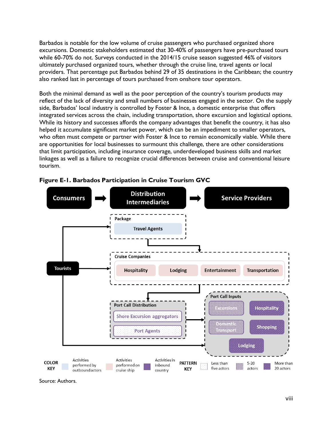Barbados is notable for the low volume of cruise passengers who purchased organized shore excursions. Domestic stakeholders estimated that 30-40% of passengers have pre-purchased tours while 60-70% do not. Surveys conducted in the 2014/15 cruise season suggested 46% of visitors ultimately purchased organized tours, whether through the cruise line, travel agents or local providers. That percentage put Barbados behind 29 of 35 destinations in the Caribbean; the country also ranked last in percentage of tours purchased from onshore tour operators.

Both the minimal demand as well as the poor perception of the country's tourism products may reflect of the lack of diversity and small numbers of businesses engaged in the sector. On the supply side, Barbados' local industry is controlled by Foster & Ince, a domestic enterprise that offers integrated services across the chain, including transportation, shore excursion and logistical options. While its history and successes affords the company advantages that benefit the country, it has also helped it accumulate significant market power, which can be an impediment to smaller operators, who often must compete or partner with Foster & Ince to remain economically viable. While there are opportunities for local businesses to surmount this challenge, there are other considerations that limit participation, including insurance coverage, underdeveloped business skills and market linkages as well as a failure to recognize crucial differences between cruise and conventional leisure tourism.





Source: Authors.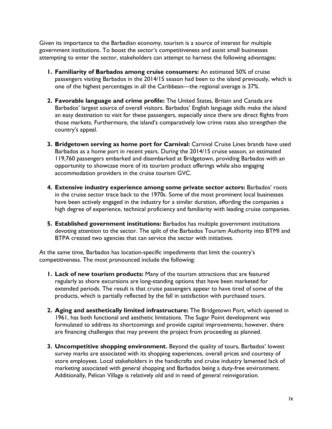Given its importance to the Barbadian economy, tourism is a source of interest for multiple government institutions. To boost the sector's competitiveness and assist small businesses attempting to enter the sector, stakeholders can attempt to harness the following advantages:

- **1. Familiarity of Barbados among cruise consumers:** An estimated 50% of cruise passengers visiting Barbados in the 2014/15 season had been to the island previously, which is one of the highest percentages in all the Caribbean—the regional average is 37%.
- **2. Favorable language and crime profile:** The United States, Britain and Canada are Barbados' largest source of overall visitors. Barbados' English language skills make the island an easy destination to visit for these passengers, especially since there are direct flights from those markets. Furthermore, the island's comparatively low crime rates also strengthen the country's appeal.
- **3. Bridgetown serving as home port for Carnival:** Carnival Cruise Lines brands have used Barbados as a home port in recent years. During the 2014/15 cruise season, an estimated 119,760 passengers embarked and disembarked at Bridgetown, providing Barbados with an opportunity to showcase more of its tourism product offerings while also engaging accommodation providers in the cruise tourism GVC.
- **4. Extensive industry experience among some private sector actors:** Barbados' roots in the cruise sector trace back to the 1970s. Some of the most prominent local businesses have been actively engaged in the industry for a similar duration, affording the companies a high degree of experience, technical proficiency and familiarity with leading cruise companies.
- **5. Established government institutions:** Barbados has multiple government institutions devoting attention to the sector. The split of the Barbados Tourism Authority into BTMI and BTPA created two agencies that can service the sector with initiatives.

At the same time, Barbados has location-specific impediments that limit the country's competitiveness. The most pronounced include the following:

- **1. Lack of new tourism products:** Many of the tourism attractions that are featured regularly as shore excursions are long-standing options that have been marketed for extended periods. The result is that cruise passengers appear to have tired of some of the products, which is partially reflected by the fall in satisfaction with purchased tours.
- **2. Aging and aesthetically limited infrastructure:** The Bridgetown Port, which opened in 1961, has both functional and aesthetic limitations. The Sugar Point development was formulated to address its shortcomings and provide capital improvements; however, there are financing challenges that may prevent the project from proceeding as planned.
- **3. Uncompetitive shopping environment.** Beyond the quality of tours, Barbados' lowest survey marks are associated with its shopping experiences, overall prices and courtesy of store employees. Local stakeholders in the handicrafts and cruise industry lamented lack of marketing associated with general shopping and Barbados being a duty-free environment. Additionally, Pelican Village is relatively old and in need of general reinvigoration.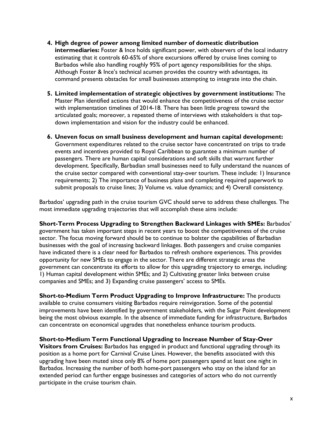- **4. High degree of power among limited number of domestic distribution intermediaries:** Foster & Ince holds significant power, with observers of the local industry estimating that it controls 60-65% of shore excursions offered by cruise lines coming to Barbados while also handling roughly 95% of port agency responsibilities for the ships. Although Foster & Ince's technical acumen provides the country with advantages, its command presents obstacles for small businesses attempting to integrate into the chain.
- **5. Limited implementation of strategic objectives by government institutions:** The Master Plan identified actions that would enhance the competitiveness of the cruise sector with implementation timelines of 2014-18. There has been little progress toward the articulated goals; moreover, a repeated theme of interviews with stakeholders is that topdown implementation and vision for the industry could be enhanced.
- **6. Uneven focus on small business development and human capital development:**  Government expenditures related to the cruise sector have concentrated on trips to trade events and incentives provided to Royal Caribbean to guarantee a minimum number of passengers. There are human capital considerations and soft skills that warrant further development. Specifically, Barbadian small businesses need to fully understand the nuances of the cruise sector compared with conventional stay-over tourism. These include: 1) Insurance requirements; 2) The importance of business plans and completing required paperwork to submit proposals to cruise lines; 3) Volume vs. value dynamics; and 4) Overall consistency.

Barbados' upgrading path in the cruise tourism GVC should serve to address these challenges. The most immediate upgrading trajectories that will accomplish these aims include:

**Short-Term Process Upgrading to Strengthen Backward Linkages with SMEs:** Barbados' government has taken important steps in recent years to boost the competitiveness of the cruise sector. The focus moving forward should be to continue to bolster the capabilities of Barbadian businesses with the goal of increasing backward linkages. Both passengers and cruise companies have indicated there is a clear need for Barbados to refresh onshore experiences. This provides opportunity for new SMEs to engage in the sector. There are different strategic areas the government can concentrate its efforts to allow for this upgrading trajectory to emerge, including: 1) Human capital development within SMEs; and 2) Cultivating greater links between cruise companies and SMEs; and 3) Expanding cruise passengers' access to SMEs.

**Short-to-Medium Term Product Upgrading to Improve Infrastructure:** The products available to cruise consumers visiting Barbados require reinvigoration. Some of the potential improvements have been identified by government stakeholders, with the Sugar Point development being the most obvious example. In the absence of immediate funding for infrastructure, Barbados can concentrate on economical upgrades that nonetheless enhance tourism products.

#### **Short-to-Medium Term Functional Upgrading to Increase Number of Stay-Over**

**Visitors from Cruises:** Barbados has engaged in product and functional upgrading through its position as a home port for Carnival Cruise Lines. However, the benefits associated with this upgrading have been muted since only 8% of home port passengers spend at least one night in Barbados. Increasing the number of both home-port passengers who stay on the island for an extended period can further engage businesses and categories of actors who do not currently participate in the cruise tourism chain.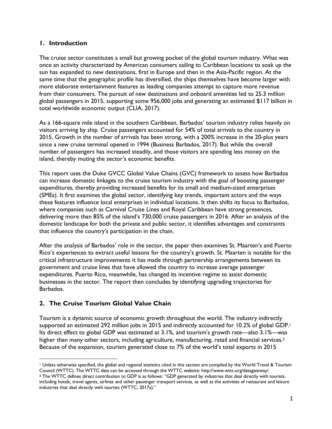#### **1. Introduction**

The cruise sector constitutes a small but growing pocket of the global tourism industry. What was once an activity characterized by American consumers sailing to Caribbean locations to soak up the sun has expanded to new destinations, first in Europe and then in the Asia-Pacific region. At the same time that the geographic profile has diversified, the ships themselves have become larger with more elaborate entertainment features as leading companies attempt to capture more revenue from their consumers. The pursuit of new destinations and onboard amenities led to 25.3 million global passengers in 2015, supporting some 956,000 jobs and generating an estimated \$117 billion in total worldwide economic output (CLIA, 2017).

As a 166-square mile island in the southern Caribbean, Barbados' tourism industry relies heavily on visitors arriving by ship. Cruise passengers accounted for 54% of total arrivals to the country in 2015. Growth in the number of arrivals has been strong, with a 200% increase in the 20-plus years since a new cruise terminal opened in 1994 (Business Barbados, 2017). But while the overall number of passengers has increased steadily, and those visitors are spending less money on the island, thereby muting the sector's economic benefits.

This report uses the Duke GVCC Global Value Chains (GVC) framework to assess how Barbados can increase domestic linkages to the cruise tourism industry with the goal of boosting passenger expenditures, thereby providing increased benefits for its small and medium-sized enterprises (SMEs). It first examines the global sector, identifying key trends, important actors and the ways these features influence local enterprises in individual locations. It then shifts its focus to Barbados, where companies such as Carnival Cruise Lines and Royal Caribbean have strong presences, delivering more than 85% of the island's 730,000 cruise passengers in 2016. After an analysis of the domestic landscape for both the private and public sector, it identifies advantages and constraints that influence the country's participation in the chain.

After the analysis of Barbados' role in the sector, the paper then examines St. Maarten's and Puerto Rico's experiences to extract useful lessons for the country's growth. St. Maarten is notable for the critical infrastructure improvements it has made through partnership arrangements between its government and cruise lines that have allowed the country to increase average passenger expenditures. Puerto Rico, meanwhile, has changed its incentive regime to assist domestic businesses in the sector. The report then concludes by identifying upgrading trajectories for Barbados.

## **2. The Cruise Tourism Global Value Chain**

Tourism is a dynamic source of economic growth throughout the world. The industry indirectly supported an estimated 292 million jobs in 2015 and indirectly accounted for 10.2% of global GDP.<sup>1</sup> Its direct effect to global GDP was estimated at 3.1%, and tourism's growth rate—also 3.1%—was higher than many other sectors, including agriculture, manufacturing, retail and financial services.<sup>2</sup> Because of the expansion, tourism generated close to 7% of the world's total exports in 2015

 $\overline{a}$ <sup>1</sup> Unless otherwise specified, the global and regional statistics cited in this section are compiled by the World Travel & Tourism Council (WTTC). The WTTC data can be accessed through the WTTC website: http://www.wttc.org/datagateway/.

<sup>&</sup>lt;sup>2</sup> The WTTC defines direct contribution to GDP is as follows: "GDP generated by industries that deal directly with tourists, including hotels, travel agents, airlines and other passenger transport services, as well as the activities of restaurant and leisure industries that deal directly with tourists (WTTC, 2017a)."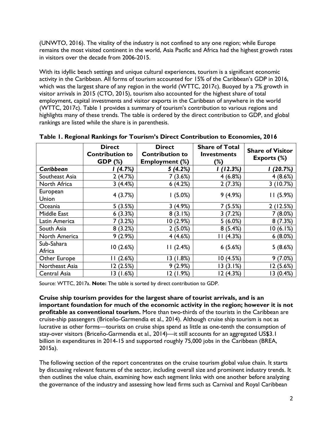(UNWTO, 2016). The vitality of the industry is not confined to any one region; while Europe remains the most visited continent in the world, Asia Pacific and Africa had the highest growth rates in visitors over the decade from 2006-2015.

With its idyllic beach settings and unique cultural experiences, tourism is a significant economic activity in the Caribbean. All forms of tourism accounted for 15% of the Caribbean's GDP in 2016, which was the largest share of any region in the world (WTTC, 2017c). Buoyed by a 7% growth in visitor arrivals in 2015 (CTO, 2015), tourism also accounted for the highest share of total employment, capital investments and visitor exports in the Caribbean of anywhere in the world (WTTC, 2017c). Table 1 provides a summary of tourism's contribution to various regions and highlights many of these trends. The table is ordered by the direct contribution to GDP, and global rankings are listed while the share is in parenthesis.

|                      | <b>Direct</b><br><b>Contribution to</b> | <b>Direct</b><br><b>Contribution to</b> | <b>Share of Total</b><br><b>Investments</b> | <b>Share of Visitor</b> |
|----------------------|-----------------------------------------|-----------------------------------------|---------------------------------------------|-------------------------|
|                      | <b>GDP</b> (%)                          | <b>Employment (%)</b>                   | $(\%)$                                      | Exports (%)             |
| Caribbean            | (4.7%)                                  | 5(4.2%)                                 | (12.3%)                                     | (20.7%)                 |
| Southeast Asia       | 2(4.7%)                                 | 7(3.6%)                                 | 4(6.8%)                                     | 4(8.6%)                 |
| North Africa         | 3(4.4%)                                 | 6(4.2%)                                 | 2(7.3%)                                     | 3(10.7%)                |
| European<br>Union    | 4(3.7%)                                 | 1(5.0%)                                 | 9(4.9%)                                     | 11(5.9%)                |
| Oceania              | 5(3.5%)                                 | 3(4.9%)                                 | 7(5.5%)                                     | 2(12.5%)                |
| Middle East          | 6(3.3%)                                 | 8(3.1%)                                 | 3(7.2%)                                     | 7(8.0%)                 |
| Latin America        | 7(3.2%)                                 | 10 (2.9%)                               | $5(6.0\%)$                                  | 8(7.3%)                 |
| South Asia           | 8(3.2%)                                 | $2(5.0\%)$                              | 8(5.4%)                                     | 10(6.1%)                |
| North America        | $9(2.9\%)$                              | 4(4.6%)                                 | 11(4.3%)                                    | $6(8.0\%)$              |
| Sub-Sahara<br>Africa | 10(2.6%)                                | 11(2.4%)                                | 6(5.6%)                                     | 5(8.6%)                 |
| Other Europe         | (2.6%)                                  | 13 (1.8%)                               | 10(4.5%)                                    | $9(7.0\%)$              |
| Northeast Asia       | 12 (2.5%)                               | 9(2.9%)                                 | 13(3.1%)                                    | 12 (5.6%)               |
| Central Asia         | 13 (1.6%)                               | 12 (1.9%)                               | 12 (4.3%)                                   | I3 (0.4%)               |

|  |  |  | Table 1. Regional Rankings for Tourism's Direct Contribution to Economies, 2016 |  |
|--|--|--|---------------------------------------------------------------------------------|--|
|  |  |  |                                                                                 |  |

Source: WTTC, 2017a. **Note:** The table is sorted by direct contribution to GDP.

**Cruise ship tourism provides for the largest share of tourist arrivals, and is an important foundation for much of the economic activity in the region; however it is not profitable as conventional tourism.** More than two-thirds of the tourists in the Caribbean are cruise-ship passengers (Briceño-Garmendia et al., 2014). Although cruise ship tourism is not as lucrative as other forms—tourists on cruise ships spend as little as one-tenth the consumption of stay-over visitors (Briceño-Garmendia et al., 2014)—it still accounts for an aggregated US\$3.1 billion in expenditures in 2014-15 and supported roughly 75,000 jobs in the Caribbean (BREA, 2015a).

The following section of the report concentrates on the cruise tourism global value chain. It starts by discussing relevant features of the sector, including overall size and prominent industry trends. It then outlines the value chain, examining how each segment links with one another before analyzing the governance of the industry and assessing how lead firms such as Carnival and Royal Caribbean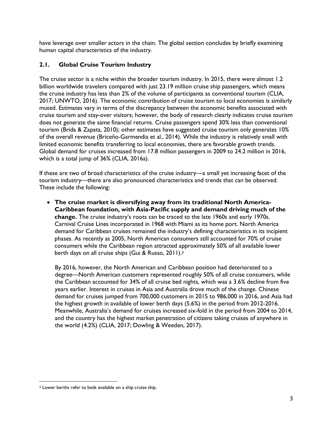have leverage over smaller actors in the chain. The global section concludes by briefly examining human capital characteristics of the industry.

## **2.1. Global Cruise Tourism Industry**

The cruise sector is a niche within the broader tourism industry. In 2015, there were almost 1.2 billion worldwide travelers compared with just 23.19 million cruise ship passengers, which means the cruise industry has less than 2% of the volume of participants as conventional tourism (CLIA, 2017; UNWTO, 2016). The economic contribution of cruise tourism to local economies is similarly muted. Estimates vary in terms of the discrepancy between the economic benefits associated with cruise tourism and stay-over visitors; however, the body of research clearly indicates cruise tourism does not generate the same financial returns. Cruise passengers spend 30% less than conventional tourism (Brida & Zapata, 2010); other estimates have suggested cruise tourism only generates 10% of the overall revenue (Briceño-Garmendia et al., 2014). While the industry is relatively small with limited economic benefits transferring to local economies, there are favorable growth trends. Global demand for cruises increased from 17.8 million passengers in 2009 to 24.2 million in 2016, which is a total jump of 36% (CLIA, 2016a).

If these are two of broad characteristics of the cruise industry—a small yet increasing facet of the tourism industry—there are also pronounced characteristics and trends that can be observed. These include the following:

• **The cruise market is diversifying away from its traditional North America-Caribbean foundation, with Asia-Pacific supply and demand driving much of the change.** The cruise industry's roots can be traced to the late 1960s and early 1970s. Carnival Cruise Lines incorporated in 1968 with Miami as its home port. North America demand for Caribbean cruises remained the industry's defining characteristics in its incipient phases. As recently as 2005, North American consumers still accounted for 70% of cruise consumers while the Caribbean region attracted approximately 50% of all available lower berth days on all cruise ships (Gui & Russo, 2011).<sup>3</sup>

By 2016, however, the North American and Caribbean position had deteriorated to a degree—North American customers represented roughly 50% of all cruise consumers, while the Caribbean accounted for 34% of all cruise bed nights, which was a 3.6% decline from five years earlier. Interest in cruises in Asia and Australia drove much of the change. Chinese demand for cruises jumped from 700,000 customers in 2015 to 986,000 in 2016, and Asia had the highest growth in available of lower berth days (5.6%) in the period from 2012-2016. Meanwhile, Australia's demand for cruises increased six-fold in the period from 2004 to 2014, and the country has the highest market penetration of citizens taking cruises of anywhere in the world (4.2%) (CLIA, 2017; Dowling & Weeden, 2017).

 $\overline{a}$ 

<sup>&</sup>lt;sup>3</sup> Lower berths refer to beds available on a ship cruise ship.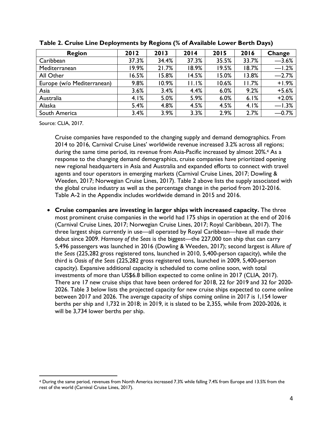| <b>Region</b>              | 2012  | 2013  | 2014  | 2015     | 2016  | Change  |
|----------------------------|-------|-------|-------|----------|-------|---------|
| Caribbean                  | 37.3% | 34.4% | 37.3% | 35.5%    | 33.7% | $-3.6%$ |
| Mediterranean              | 19.9% | 21.7% | 18.9% | 19.5%    | 18.7% | $-1.2%$ |
| All Other                  | 16.5% | 5.8%  | 14.5% | 5.0%     | 3.8%  | $-2.7%$ |
| Europe (w/o Mediterranean) | 9.8%  | 10.9% | 11.1% | $10.6\%$ | 11.7% | $+1.9%$ |
| Asia                       | 3.6%  | 3.4%  | 4.4%  | 6.0%     | 9.2%  | $+5.6%$ |
| Australia                  | 4.1%  | 5.0%  | 5.9%  | 6.0%     | 6.1%  | $+2.0%$ |
| Alaska                     | 5.4%  | 4.8%  | 4.5%  | 4.5%     | 4.1%  | $-1.3%$ |
| South America              | 3.4%  | 3.9%  | 3.3%  | 2.9%     | 2.7%  | $-0.7%$ |

**Table 2. Cruise Line Deployments by Regions (% of Available Lower Berth Days)**

Source: CLIA, 2017.

 $\overline{a}$ 

Cruise companies have responded to the changing supply and demand demographics. From 2014 to 2016, Carnival Cruise Lines' worldwide revenue increased 3.2% across all regions; during the same time period, its revenue from Asia-Pacific increased by almost 20%.<sup>4</sup> As a response to the changing demand demographics, cruise companies have prioritized opening new regional headquarters in Asia and Australia and expanded efforts to connect with travel agents and tour operators in emerging markets (Carnival Cruise Lines, 2017; Dowling & Weeden, 2017; Norwegian Cruise Lines, 2017). Table 2 above lists the supply associated with the global cruise industry as well as the percentage change in the period from 2012-2016. Table A-2 in the Appendix includes worldwide demand in 2015 and 2016.

• **Cruise companies are investing in larger ships with increased capacity.** The three most prominent cruise companies in the world had 175 ships in operation at the end of 2016 (Carnival Cruise Lines, 2017; Norwegian Cruise Lines, 2017; Royal Caribbean, 2017). The three largest ships currently in use—all operated by Royal Caribbean—have all made their debut since 2009. *Harmony of the Seas* is the biggest—the 227,000 ton ship that can carry 5,496 passengers was launched in 2016 (Dowling & Weeden, 2017); second largest is *Allure of the Seas* (225,282 gross registered tons, launched in 2010, 5,400-person capacity), while the third is *Oasis of the Seas* (225,282 gross registered tons, launched in 2009, 5,400-person capacity). Expansive additional capacity is scheduled to come online soon, with total investments of more than US\$6.8 billion expected to come online in 2017 (CLIA, 2017). There are 17 new cruise ships that have been ordered for 2018, 22 for 2019 and 32 for 2020- 2026. Table 3 below lists the projected capacity for new cruise ships expected to come online between 2017 and 2026. The average capacity of ships coming online in 2017 is 1,154 lower berths per ship and 1,732 in 2018; in 2019, it is slated to be 2,355, while from 2020-2026, it will be 3,734 lower berths per ship.

<sup>4</sup> During the same period, revenues from North America increased 7.3% while falling 7.4% from Europe and 13.5% from the rest of the world (Carnival Cruise Lines, 2017).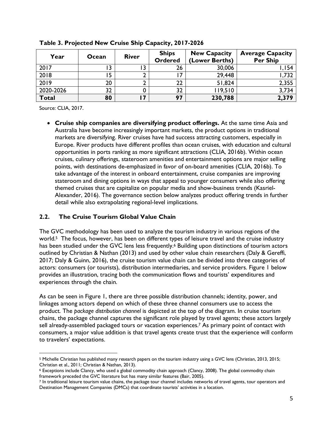| Year         | Ocean | <b>River</b> | <b>Ships</b><br><b>Ordered</b> | <b>New Capacity</b><br>(Lower Berths) | <b>Average Capacity</b><br><b>Per Ship</b> |
|--------------|-------|--------------|--------------------------------|---------------------------------------|--------------------------------------------|
| 2017         |       |              | 26                             | 30,006                                | 154,                                       |
| 2018         | 15    |              |                                | 29,448                                | ,732                                       |
| 2019         | 20    |              | 22                             | 51,824                                | 2,355                                      |
| 2020-2026    | 32    |              | 32                             | 119,510                               | 3,734                                      |
| <b>Total</b> | 80    |              | 97                             | 230,788                               | 2,379                                      |

**Table 3. Projected New Cruise Ship Capacity, 2017-2026**

Source: CLIA, 2017.

 $\overline{a}$ 

• **Cruise ship companies are diversifying product offerings.** At the same time Asia and Australia have become increasingly important markets, the product options in traditional markets are diversifying. River cruises have had success attracting customers, especially in Europe. River products have different profiles than ocean cruises, with education and cultural opportunities in ports ranking as more significant attractions (CLIA, 2016b). Within ocean cruises, culinary offerings, stateroom amenities and entertainment options are major selling points, with destinations de-emphasized in favor of on-board amenities (CLIA, 2016b). To take advantage of the interest in onboard entertainment, cruise companies are improving stateroom and dining options in ways that appeal to younger consumers while also offering themed cruises that are capitalize on popular media and show-business trends (Kasriel-Alexander, 2016). The governance section below analyzes product offering trends in further detail while also extrapolating regional-level implications.

#### **2.2. The Cruise Tourism Global Value Chain**

The GVC methodology has been used to analyze the tourism industry in various regions of the world.<sup>5</sup> The focus, however, has been on different types of leisure travel and the cruise industry has been studied under the GVC lens less frequently.<sup>6</sup> Building upon distinctions of tourism actors outlined by Christian & Nathan (2013) and used by other value chain researchers (Daly & Gereffi, 2017; Daly & Guinn, 2016), the cruise tourism value chain can be divided into three categories of actors: consumers (or tourists), distribution intermediaries, and service providers. Figure 1 below provides an illustration, tracing both the communication flows and tourists' expenditures and experiences through the chain.

As can be seen in Figure 1, there are three possible distribution channels; identity, power, and linkages among actors depend on which of these three channel consumers use to access the product. The *package distribution channel* is depicted at the top of the diagram. In cruise tourism chains, the package channel captures the significant role played by travel agents; these actors largely sell already-assembled packaged tours or vacation experiences.7 As primary point of contact with consumers, a major value addition is that travel agents create trust that the experience will conform to travelers' expectations.

<sup>5</sup> Michelle Christian has published many research papers on the tourism industry using a GVC lens (Christian, 2013, 2015; Christian et al., 2011; Christian & Nathan, 2013).

<sup>6</sup> Exceptions include Clancy, who used a global commodity chain approach (Clancy, 2008). The global commodity chain framework preceded the GVC literature but has many similar features (Bair, 2005).<br>7 In traditional leisure tourism value chains, the package tour channel includes networks of travel agents, tour operators and

Destination Management Companies (DMCs) that coordinate tourists' activities in a location.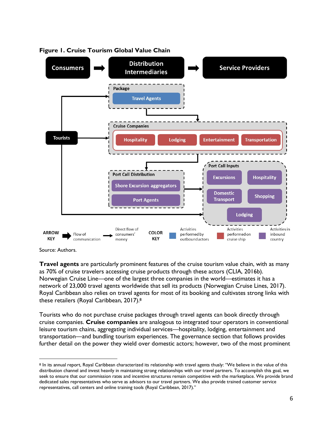



 $\overline{a}$ 

**Travel agents** are particularly prominent features of the cruise tourism value chain, with as many as 70% of cruise travelers accessing cruise products through these actors (CLIA, 2016b). Norwegian Cruise Line—one of the largest three companies in the world—estimates it has a network of 23,000 travel agents worldwide that sell its products (Norwegian Cruise Lines, 2017). Royal Caribbean also relies on travel agents for most of its booking and cultivates strong links with these retailers (Royal Caribbean, 2017).8

Tourists who do not purchase cruise packages through travel agents can book directly through cruise companies. **Cruise companies** are analogous to integrated tour operators in conventional leisure tourism chains, aggregating individual services—hospitality, lodging, entertainment and transportation—and bundling tourism experiences. The governance section that follows provides further detail on the power they wield over domestic actors; however, two of the most prominent

Source: Authors.

<sup>8</sup> In its annual report, Royal Caribbean characterized its relationship with travel agents thusly: "We believe in the value of this distribution channel and invest heavily in maintaining strong relationships with our travel partners. To accomplish this goal, we seek to ensure that our commission rates and incentive structures remain competitive with the marketplace. We provide brand dedicated sales representatives who serve as advisors to our travel partners. We also provide trained customer service representatives, call centers and online training tools (Royal Caribbean, 2017)."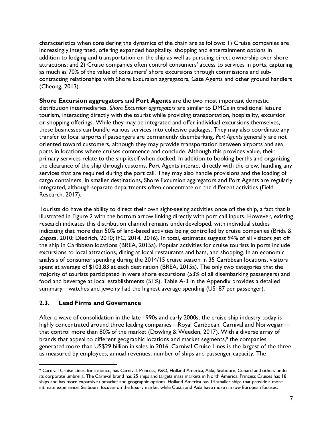characteristics when considering the dynamics of the chain are as follows: 1) Cruise companies are increasingly integrated, offering expanded hospitality, shopping and entertainment options in addition to lodging and transportation on the ship as well as pursuing direct ownership over shore attractions; and 2) Cruise companies often control consumers' access to services in ports, capturing as much as 70% of the value of consumers' shore excursions through commissions and subcontracting relationships with Shore Excursion aggregators, Gate Agents and other ground handlers (Cheong, 2013).

**Shore Excursion aggregators** and **Port Agents** are the two most important domestic distribution intermediaries. *Shore Excursion aggregators* are similar to DMCs in traditional leisure tourism, interacting directly with the tourist while providing transportation, hospitality, excursion or shopping offerings. While they may be integrated and offer individual excursions themselves, these businesses can bundle various services into cohesive packages. They may also coordinate any transfer to local airports if passengers are permanently disembarking. *Port Agents* generally are not oriented toward customers, although they may provide transportation between airports and sea ports in locations where cruises commence and conclude. Although this provides value, their primary services relate to the ship itself when docked. In addition to booking berths and organizing the clearance of the ship through customs, Port Agents interact directly with the crew, handling any services that are required during the port call. They may also handle provisions and the loading of cargo containers. In smaller destinations, Shore Excursion aggregators and Port Agents are regularly integrated, although separate departments often concentrate on the different activities (Field Research, 2017).

Tourists do have the ability to direct their own sight-seeing activities once off the ship, a fact that is illustrated in Figure 2 with the bottom arrow linking directly with port call inputs. However, existing research indicates this distribution channel remains underdeveloped, with individual studies indicating that more than 50% of land-based activities being controlled by cruise companies (Brida & Zapata, 2010; Diedrich, 2010; IFC, 2014, 2016). In total, estimates suggest 94% of all visitors get off the ship in Caribbean locations (BREA, 2015a). Popular activities for cruise tourists in ports include excursions to local attractions, dining at local restaurants and bars, and shopping. In an economic analysis of consumer spending during the 2014/15 cruise season in 35 Caribbean locations, visitors spent at average of \$103.83 at each destination (BREA, 2015a). The only two categories that the majority of tourists participated in were shore excursions (53% of all disembarking passengers) and food and beverage at local establishments (51%). Table A-3 in the Appendix provides a detailed summary—watches and jewelry had the highest average spending (US187 per passenger).

#### **2.3. Lead Firms and Governance**

 $\overline{a}$ 

After a wave of consolidation in the late 1990s and early 2000s, the cruise ship industry today is highly concentrated around three leading companies—Royal Caribbean, Carnival and Norwegian that control more than 80% of the market (Dowling & Weeden, 2017). With a diverse array of brands that appeal to different geographic locations and market segments,<sup>9</sup> the companies generated more than US\$29 billion in sales in 2016. Carnival Cruise Lines is the largest of the three as measured by employees, annual revenues, number of ships and passenger capacity. The

<sup>9</sup> Carnival Cruise Lines, for instance, has Carnival, Princess, P&O, Holland America, Aida, Seabourn, Cunard and others under its corporate umbrella. The Carnival brand has 25 ships and targets mass markets in North America. Princess Cruises has 18 ships and has more expansive upmarket and geographic options. Holland America has 14 smaller ships that provide a more intimate experience. Seabourn focuses on the luxury market while Costa and Aida have more narrow European focuses.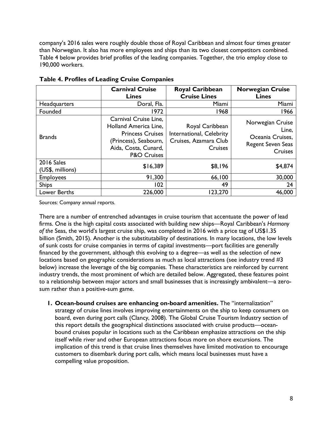company's 2016 sales were roughly double those of Royal Caribbean and almost four times greater than Norwegian. It also has more employees and ships than its two closest competitors combined. Table 4 below provides brief profiles of the leading companies. Together, the trio employ close to 190,000 workers.

|                                | <b>Carnival Cruise</b><br><b>Lines</b>                                                                                                               | <b>Royal Caribbean</b><br><b>Cruise Lines</b>                                          | <b>Norwegian Cruise</b><br><b>Lines</b>                                                     |
|--------------------------------|------------------------------------------------------------------------------------------------------------------------------------------------------|----------------------------------------------------------------------------------------|---------------------------------------------------------------------------------------------|
| Headquarters                   | Doral, Fla.                                                                                                                                          | Miami                                                                                  | Miami                                                                                       |
| Founded                        | 1972                                                                                                                                                 | 1968                                                                                   | 1966                                                                                        |
| <b>Brands</b>                  | Carnival Cruise Line,<br>Holland America Line,<br><b>Princess Cruises</b><br>(Princess), Seabourn,<br>Aida, Costa, Cunard,<br><b>P&amp;O Cruises</b> | Royal Caribbean<br>International, Celebrity<br>Cruises, Azamara Club<br><b>Cruises</b> | Norwegian Cruise<br>Line,<br>Oceania Cruises,<br><b>Regent Seven Seas</b><br><b>Cruises</b> |
| 2016 Sales<br>(US\$, millions) | \$16,389                                                                                                                                             | \$8,196                                                                                | \$4,874                                                                                     |
| <b>Employees</b>               | 91,300                                                                                                                                               | 66,100                                                                                 | 30,000                                                                                      |
| <b>Ships</b>                   | 102                                                                                                                                                  | 49                                                                                     | 24                                                                                          |
| Lower Berths                   | 226,000                                                                                                                                              | 123,270                                                                                | 46,000                                                                                      |

**Table 4. Profiles of Leading Cruise Companies**

Sources: Company annual reports.

There are a number of entrenched advantages in cruise tourism that accentuate the power of lead firms. One is the high capital costs associated with building new ships—Royal Caribbean's *Harmony of the* Seas, the world's largest cruise ship, was completed in 2016 with a price tag of US\$1.35 billion (Smith, 2015). Another is the substitutability of destinations. In many locations, the low levels of sunk costs for cruise companies in terms of capital investments—port facilities are generally financed by the government, although this evolving to a degree—as well as the selection of new locations based on geographic considerations as much as local attractions (see industry trend #3 below) increase the leverage of the big companies. These characteristics are reinforced by current industry trends, the most prominent of which are detailed below. Aggregated, these features point to a relationship between major actors and small businesses that is increasingly ambivalent—a zerosum rather than a positive-sum game.

**1. Ocean-bound cruises are enhancing on-board amenities.** The "internalization" strategy of cruise lines involves improving entertainments on the ship to keep consumers on board, even during port calls (Clancy, 2008). The Global Cruise Tourism Industry section of this report details the geographical distinctions associated with cruise products—oceanbound cruises popular in locations such as the Caribbean emphasize attractions on the ship itself while river and other European attractions focus more on shore excursions. The implication of this trend is that cruise lines themselves have limited motivation to encourage customers to disembark during port calls, which means local businesses must have a compelling value proposition.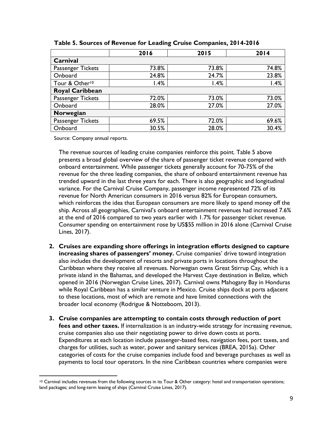|                            | 2016  | 2015  | 2014  |
|----------------------------|-------|-------|-------|
| Carnival                   |       |       |       |
| Passenger Tickets          | 73.8% | 73.8% | 74.8% |
| Onboard                    | 24.8% | 24.7% | 23.8% |
| Tour & Other <sup>10</sup> | 1.4%  | 1.4%  | 1.4%  |
| <b>Royal Caribbean</b>     |       |       |       |
| Passenger Tickets          | 72.0% | 73.0% | 73.0% |
| Onboard                    | 28.0% | 27.0% | 27.0% |
| Norwegian                  |       |       |       |
| Passenger Tickets          | 69.5% | 72.0% | 69.6% |
| Onboard                    | 30.5% | 28.0% | 30.4% |

**Table 5. Sources of Revenue for Leading Cruise Companies, 2014-2016**

Source: Company annual reports.

 $\overline{a}$ 

The revenue sources of leading cruise companies reinforce this point. Table 5 above presents a broad global overview of the share of passenger ticket revenue compared with onboard entertainment. While passenger tickets generally account for 70-75% of the revenue for the three leading companies, the share of onboard entertainment revenue has trended upward in the last three years for each. There is also geographic and longitudinal variance. For the Carnival Cruise Company, passenger income represented 72% of its revenue for North American consumers in 2016 versus 82% for European consumers, which reinforces the idea that European consumers are more likely to spend money off the ship. Across all geographies, Carnival's onboard entertainment revenues had increased 7.6% at the end of 2016 compared to two years earlier with 1.7% for passenger ticket revenue. Consumer spending on entertainment rose by US\$55 million in 2016 alone (Carnival Cruise Lines, 2017).

- **2. Cruises are expanding shore offerings in integration efforts designed to capture increasing shares of passengers' money.** Cruise companies' drive toward integration also includes the development of resorts and private ports in locations throughout the Caribbean where they receive all revenues. Norwegian owns Great Stirrup Cay, which is a private island in the Bahamas, and developed the Harvest Caye destination in Belize, which opened in 2016 (Norwegian Cruise Lines, 2017). Carnival owns Mahogany Bay in Honduras while Royal Caribbean has a similar venture in Mexico. Cruise ships dock at ports adjacent to these locations, most of which are remote and have limited connections with the broader local economy (Rodrigue & Notteboom, 2013).
- **3. Cruise companies are attempting to contain costs through reduction of port fees and other taxes.** If internalization is an industry-wide strategy for increasing revenue, cruise companies also use their negotiating power to drive down costs at ports. Expenditures at each location include passenger-based fees, navigation fees, port taxes, and charges for utilities, such as water, power and sanitary services (BREA, 2015a). Other categories of costs for the cruise companies include food and beverage purchases as well as payments to local tour operators. In the nine Caribbean countries where companies were

<sup>&</sup>lt;sup>10</sup> Carnival includes revenues from the following sources in its Tour & Other category: hotel and transportation operations; land packages; and long-term leasing of ships (Carnival Cruise Lines, 2017).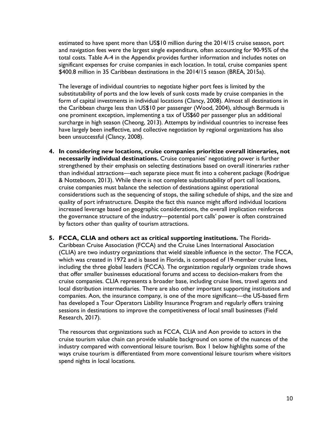estimated to have spent more than US\$10 million during the 2014/15 cruise season, port and navigation fees were the largest single expenditure, often accounting for 90-95% of the total costs. Table A-4 in the Appendix provides further information and includes notes on significant expenses for cruise companies in each location. In total, cruise companies spent \$400.8 million in 35 Caribbean destinations in the 2014/15 season (BREA, 2015a).

The leverage of individual countries to negotiate higher port fees is limited by the substitutability of ports and the low levels of sunk costs made by cruise companies in the form of capital investments in individual locations (Clancy, 2008). Almost all destinations in the Caribbean charge less than US\$10 per passenger (Wood, 2004), although Bermuda is one prominent exception, implementing a tax of US\$60 per passenger plus an additional surcharge in high season (Cheong, 2013). Attempts by individual countries to increase fees have largely been ineffective, and collective negotiation by regional organizations has also been unsuccessful (Clancy, 2008).

- **4. In considering new locations, cruise companies prioritize overall itineraries, not necessarily individual destinations.** Cruise companies' negotiating power is further strengthened by their emphasis on selecting destinations based on overall itineraries rather than individual attractions—each separate piece must fit into a coherent package (Rodrigue & Notteboom, 2013). While there is not complete substitutability of port call locations, cruise companies must balance the selection of destinations against operational considerations such as the sequencing of stops, the sailing schedule of ships, and the size and quality of port infrastructure. Despite the fact this nuance might afford individual locations increased leverage based on geographic considerations, the overall implication reinforces the governance structure of the industry—potential port calls' power is often constrained by factors other than quality of tourism attractions.
- **5. FCCA, CLIA and others act as critical supporting institutions.** The Florida-Caribbean Cruise Association (FCCA) and the Cruise Lines International Association (CLIA) are two industry organizations that wield sizeable influence in the sector. The FCCA, which was created in 1972 and is based in Florida, is composed of 19-member cruise lines, including the three global leaders (FCCA). The organization regularly organizes trade shows that offer smaller businesses educational forums and access to decision-makers from the cruise companies. CLIA represents a broader base, including cruise lines, travel agents and local distribution intermediaries. There are also other important supporting institutions and companies. Aon, the insurance company, is one of the more significant—the US-based firm has developed a Tour Operators Liability Insurance Program and regularly offers training sessions in destinations to improve the competitiveness of local small businesses (Field Research, 2017).

The resources that organizations such as FCCA, CLIA and Aon provide to actors in the cruise tourism value chain can provide valuable background on some of the nuances of the industry compared with conventional leisure tourism. Box 1 below highlights some of the ways cruise tourism is differentiated from more conventional leisure tourism where visitors spend nights in local locations.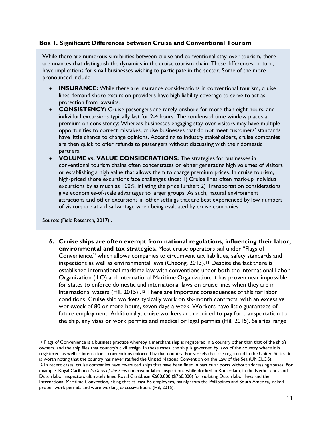#### **Box 1. Significant Differences between Cruise and Conventional Tourism**

While there are numerous similarities between cruise and conventional stay-over tourism, there are nuances that distinguish the dynamics in the cruise tourism chain. These differences, in turn, have implications for small businesses wishing to participate in the sector. Some of the more pronounced include:

- **INSURANCE:** While there are insurance considerations in conventional tourism, cruise lines demand shore excursion providers have high liability coverage to serve to act as protection from lawsuits.
- **CONSISTENCY:** Cruise passengers are rarely onshore for more than eight hours, and individual excursions typically last for 2-4 hours. The condensed time window places a premium on consistency: Whereas businesses engaging stay-over visitors may have multiple opportunities to correct mistakes, cruise businesses that do not meet customers' standards have little chance to change opinions. According to industry stakeholders, cruise companies are then quick to offer refunds to passengers without discussing with their domestic partners.
- **VOLUME vs. VALUE CONSIDERATIONS:** The strategies for businesses in conventional tourism chains often concentrates on either generating high volumes of visitors or establishing a high value that allows them to charge premium prices. In cruise tourism, high-priced shore excursions face challenges since: 1) Cruise lines often mark-up individual excursions by as much as 100%, inflating the price further; 2) Transportation considerations give economies-of-scale advantages to larger groups. As such, natural environment attractions and other excursions in other settings that are best experienced by low numbers of visitors are at a disadvantage when being evaluated by cruise companies.

Source: (Field Research, 2017) .

 $\overline{a}$ 

**6. Cruise ships are often exempt from national regulations, influencing their labor, environmental and tax strategies.** Most cruise operators sail under "Flags of Convenience," which allows companies to circumvent tax liabilities, safety standards and inspections as well as environmental laws (Cheong, 2013). <sup>11</sup> Despite the fact there is established international maritime law with conventions under both the International Labor Organization (ILO) and International Maritime Organization, it has proven near impossible for states to enforce domestic and international laws on cruise lines when they are in international waters (Hil, 2015) .<sup>12</sup> There are important consequences of this for labor conditions. Cruise ship workers typically work on six-month contracts, with an excessive workweek of 80 or more hours, seven days a week. Workers have little guarantees of future employment. Additionally, cruise workers are required to pay for transportation to the ship, any visas or work permits and medical or legal permits (Hil, 2015). Salaries range

<sup>11</sup> Flags of Convenience is a business practice whereby a merchant ship is registered in a country other than that of the ship's owners, and the ship flies that country's civil ensign. In these cases, the ship is governed by laws of the country where it is registered, as well as international conventions enforced by that country. For vessels that are registered in the United States, it is worth noting that the country has never ratified the United Nations Convention on the Law of the Sea (UNCLOS). <sup>12</sup> In recent cases, cruise companies have re-routed ships that have been fined in particular ports without addressing abuses. For example, Royal Caribbean's *Oasis of the Seas* underwent labor inspections while docked in Rotterdam, in the Netherlands and Dutch labor inspectors ultimately fined Royal Caribbean €600,000 (\$760,000) for violating Dutch labor laws and the International Maritime Convention, citing that at least 85 employees, mainly from the Philippines and South America, lacked proper work permits and were working excessive hours (Hil, 2015).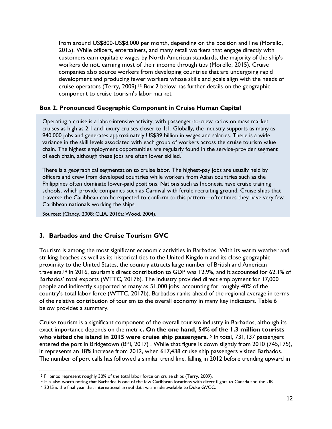from around US\$800-US\$8,000 per month, depending on the position and line (Morello, 2015). While officers, entertainers, and many retail workers that engage directly with customers earn equitable wages by North American standards, the majority of the ship's workers do not, earning most of their income through tips (Morello, 2015). Cruise companies also source workers from developing countries that are undergoing rapid development and producing fewer workers whose skills and goals align with the needs of cruise operators (Terry, 2009). <sup>13</sup> Box 2 below has further details on the geographic component to cruise tourism's labor market.

#### **Box 2. Pronounced Geographic Component in Cruise Human Capital**

Operating a cruise is a labor-intensive activity, with passenger-to-crew ratios on mass market cruises as high as 2:1 and luxury cruises closer to 1:1. Globally, the industry supports as many as 940,000 jobs and generates approximately US\$39 billion in wages and salaries. There is a wide variance in the skill levels associated with each group of workers across the cruise tourism value chain. The highest employment opportunities are regularly found in the service-provider segment of each chain, although these jobs are often lower skilled.

There is a geographical segmentation to cruise labor. The highest-pay jobs are usually held by officers and crew from developed countries while workers from Asian countries such as the Philippines often dominate lower-paid positions. Nations such as Indonesia have cruise training schools, which provide companies such as Carnival with fertile recruiting ground. Cruise ships that traverse the Caribbean can be expected to conform to this pattern—oftentimes they have very few Caribbean nationals working the ships.

Sources: (Clancy, 2008; CLIA, 2016a; Wood, 2004).

#### **3. Barbados and the Cruise Tourism GVC**

Tourism is among the most significant economic activities in Barbados. With its warm weather and striking beaches as well as its historical ties to the United Kingdom and its close geographic proximity to the United States, the country attracts large number of British and American travelers.14 In 2016, tourism's direct contribution to GDP was 12.9%, and it accounted for 62.1% of Barbados' total exports (WTTC, 2017b). The industry provided direct employment for 17,000 people and indirectly supported as many as 51,000 jobs; accounting for roughly 40% of the country's total labor force (WTTC, 2017b). Barbados ranks ahead of the regional average in terms of the relative contribution of tourism to the overall economy in many key indicators. Table 6 below provides a summary.

Cruise tourism is a significant component of the overall tourism industry in Barbados, although its exact importance depends on the metric**. On the one hand, 54% of the 1.3 million tourists who visited the island in 2015 were cruise ship passengers.**<sup>15</sup> In total, 731,137 passengers entered the port in Bridgetown (BPI, 2017) . While that figure is down slightly from 2010 (745,175), it represents an 18% increase from 2012, when 617,438 cruise ship passengers visited Barbados. The number of port calls has followed a similar trend line, falling in 2012 before trending upward in

 $\overline{a}$ 

<sup>&</sup>lt;sup>13</sup> Filipinos represent roughly 30% of the total labor force on cruise ships (Terry, 2009).

<sup>14</sup> It is also worth noting that Barbados is one of the few Caribbean locations with direct flights to Canada and the UK.

<sup>15</sup> 2015 is the final year that international arrival data was made available to Duke GVCC.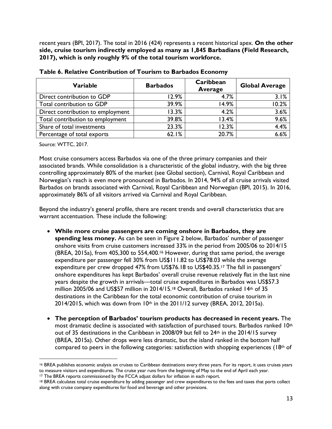recent years (BPI, 2017). The total in 2016 (424) represents a recent historical apex. **On the other side, cruise tourism indirectly employed as many as 1,845 Barbadians (Field Research, 2017), which is only roughly 9% of the total tourism workforce.**

| <b>Variable</b>                   | <b>Barbados</b> | Caribbean<br><b>Average</b> | <b>Global Average</b> |
|-----------------------------------|-----------------|-----------------------------|-----------------------|
| Direct contribution to GDP        | 12.9%           | 4.7%                        | 3.1%                  |
| Total contribution to GDP         | 39.9%           | 14.9%                       | 10.2%                 |
| Direct contribution to employment | 13.3%           | 4.2%                        | 3.6%                  |
| Total contribution to employment  | 39.8%           | 13.4%                       | 9.6%                  |
| Share of total investments        | 23.3%           | 12.3%                       | 4.4%                  |
| Percentage of total exports       | 62.1%           | 20.7%                       | 6.6%                  |

| Table 6. Relative Contribution of Tourism to Barbados Economy |
|---------------------------------------------------------------|
|---------------------------------------------------------------|

Source: WTTC, 2017.

 $\overline{a}$ 

Most cruise consumers access Barbados via one of the three primary companies and their associated brands. While consolidation is a characteristic of the global industry, with the big three controlling approximately 80% of the market (see Global section), Carnival, Royal Caribbean and Norwegian's reach is even more pronounced in Barbados. In 2014, 94% of all cruise arrivals visited Barbados on brands associated with Carnival, Royal Caribbean and Norwegian (BPI, 2015). In 2016, approximately 86% of all visitors arrived via Carnival and Royal Caribbean.

Beyond the industry's general profile, there are recent trends and overall characteristics that are warrant accentuation. These include the following:

- **While more cruise passengers are coming onshore in Barbados, they are spending less money.** As can be seen in Figure 2 below, Barbados' number of passenger onshore visits from cruise customers increased 33% in the period from 2005/06 to 2014/15 (BREA, 2015a), from 405,300 to 554,400. <sup>16</sup> However, during that same period, the average expenditure per passenger fell 30% from US\$111.82 to US\$78.03 while the average expenditure per crew dropped 47% from US\$76.18 to US\$40.35.17 The fall in passengers' onshore expenditures has kept Barbados' overall cruise revenue relatively flat in the last nine years despite the growth in arrivals—total cruise expenditures in Barbados was US\$57.3 million 2005/06 and US\$57 million in 2014/15.18 Overall, Barbados ranked 14th of 35 destinations in the Caribbean for the total economic contribution of cruise tourism in 2014/2015, which was down from 10th in the 2011/12 survey (BREA, 2012, 2015a).
- **The perception of Barbados' tourism products has decreased in recent years.** The most dramatic decline is associated with satisfaction of purchased tours. Barbados ranked 10th out of 35 destinations in the Caribbean in 2008/09 but fell to 24<sup>th</sup> in the 2014/15 survey (BREA, 2015a). Other drops were less dramatic, but the island ranked in the bottom half compared to peers in the following categories: satisfaction with shopping experiences (18th of

<sup>16</sup> BREA publishes economic analysis on cruises to Caribbean destinations every three years. For its report, it uses cruises years to measure visitors and expenditures. The cruise year runs from the beginning of May to the end of April each year.

<sup>&</sup>lt;sup>17</sup> The BREA reports commissioned by the FCCA adjust dollars for inflation in each report.

<sup>18</sup> BREA calculates total cruise expenditure by adding passenger and crew expenditures to the fees and taxes that ports collect along with cruise company expenditures for food and beverage and other provisions.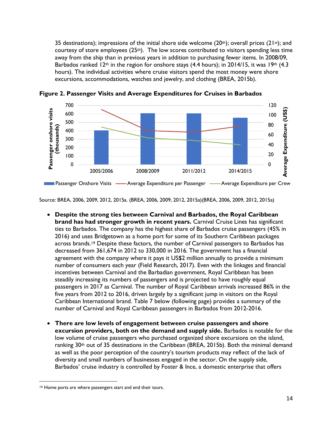35 destinations); impressions of the initial shore side welcome (20<sup>th</sup>); overall prices (21<sup>st</sup>); and courtesy of store employees (25th). The low scores contributed to visitors spending less time away from the ship than in previous years in addition to purchasing fewer items. In 2008/09, Barbados ranked 12<sup>th</sup> in the region for onshore stays (4.4 hours); in 2014/15, it was 19<sup>th</sup> (4.3 hours). The individual activities where cruise visitors spend the most money were shore excursions, accommodations, watches and jewelry, and clothing (BREA, 2015b).



**Figure 2. Passenger Visits and Average Expenditures for Cruises in Barbados**

Source: BREA, 2006, 2009, 2012, 2015a. (BREA, 2006, 2009, 2012, 2015a)(BREA, 2006, 2009, 2012, 2015a)

- **Despite the strong ties between Carnival and Barbados, the Royal Caribbean brand has had stronger growth in recent years.** Carnival Cruise Lines has significant ties to Barbados. The company has the highest share of Barbados cruise passengers (45% in 2016) and uses Bridgetown as a home port for some of its Southern Caribbean packages across brands.19 Despite these factors, the number of Carnival passengers to Barbados has decreased from 361,674 in 2012 to 330,000 in 2016. The government has a financial agreement with the company where it pays it US\$2 million annually to provide a minimum number of consumers each year (Field Research, 2017). Even with the linkages and financial incentives between Carnival and the Barbadian government, Royal Caribbean has been steadily increasing its numbers of passengers and is projected to have roughly equal passengers in 2017 as Carnival. The number of Royal Caribbean arrivals increased 86% in the five years from 2012 to 2016, driven largely by a significant jump in visitors on the Royal Caribbean International brand. Table 7 below (following page) provides a summary of the number of Carnival and Royal Caribbean passengers in Barbados from 2012-2016.
- **There are low levels of engagement between cruise passengers and shore excursion providers, both on the demand and supply side.** Barbados is notable for the low volume of cruise passengers who purchased organized shore excursions on the island, ranking  $30<sup>th</sup>$  out of 35 destinations in the Caribbean (BREA, 2015b). Both the minimal demand as well as the poor perception of the country's tourism products may reflect of the lack of diversity and small numbers of businesses engaged in the sector. On the supply side, Barbados' cruise industry is controlled by Foster & Ince, a domestic enterprise that offers

 $\overline{a}$ 

<sup>&</sup>lt;sup>19</sup> Home ports are where passengers start and end their tours.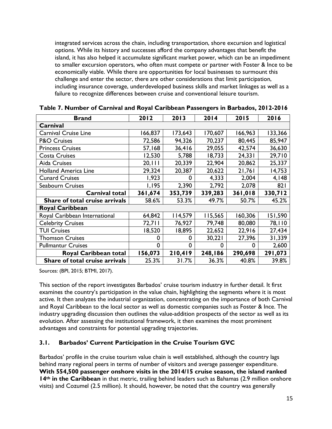integrated services across the chain, including transportation, shore excursion and logistical options. While its history and successes afford the company advantages that benefit the island, it has also helped it accumulate significant market power, which can be an impediment to smaller excursion operators, who often must compete or partner with Foster & Ince to be economically viable. While there are opportunities for local businesses to surmount this challenge and enter the sector, there are other considerations that limit participation, including insurance coverage, underdeveloped business skills and market linkages as well as a failure to recognize differences between cruise and conventional leisure tourism.

| <b>Brand</b>                   | 2012    | 2013    | 2014    | 2015    | 2016    |
|--------------------------------|---------|---------|---------|---------|---------|
| Carnival                       |         |         |         |         |         |
| <b>Carnival Cruise Line</b>    | 166,837 | 173,643 | 170,607 | 166,963 | 133,366 |
| <b>P&amp;O Cruises</b>         | 72,586  | 94,326  | 70,237  | 80,445  | 85,947  |
| <b>Princess Cruises</b>        | 57,168  | 36,416  | 29,055  | 42,574  | 36,630  |
| <b>Costa Cruises</b>           | 12,530  | 5,788   | 18,733  | 24,331  | 29,710  |
| Aida Cruises                   | 20, 111 | 20,339  | 22,904  | 20,862  | 25,337  |
| <b>Holland America Line</b>    | 29,324  | 20,387  | 20,622  | 21,761  | 14,753  |
| <b>Cunard Cruises</b>          | 1,923   | 0       | 4,333   | 2,004   | 4,148   |
| <b>Seabourn Cruises</b>        | 1,195   | 2,390   | 2,792   | 2,078   | 821     |
| <b>Carnival total</b>          | 361,674 | 353,739 | 339,283 | 361,018 | 330,712 |
| Share of total cruise arrivals | 58.6%   | 53.3%   | 49.7%   | 50.7%   | 45.2%   |
| <b>Royal Caribbean</b>         |         |         |         |         |         |
| Royal Caribbean International  | 64,842  | 114,579 | 115,565 | 160,306 | 151,590 |
| <b>Celebrity Cruises</b>       | 72,711  | 76,927  | 79,748  | 80,080  | 78,110  |
| <b>TUI Cruises</b>             | 18,520  | 18,895  | 22,652  | 22,916  | 27,434  |
| <b>Thomson Cruises</b>         | 0       | 0       | 30,221  | 27,396  | 31,339  |
| <b>Pullmantur Cruises</b>      | 0       | 0       | 0       | 0       | 2,600   |
| Royal Caribbean total          | 156,073 | 210,419 | 248,186 | 290,698 | 291,073 |
| Share of total cruise arrivals | 25.3%   | 31.7%   | 36.3%   | 40.8%   | 39.8%   |
|                                |         |         |         |         |         |

**Table 7. Number of Carnival and Royal Caribbean Passengers in Barbados, 2012-2016**

Sources: (BPI, 2015; BTMI, 2017).

This section of the report investigates Barbados' cruise tourism industry in further detail. It first examines the country's participation in the value chain, highlighting the segments where it is most active. It then analyzes the industrial organization, concentrating on the importance of both Carnival and Royal Caribbean to the local sector as well as domestic companies such as Foster & Ince. The industry upgrading discussion then outlines the value-addition prospects of the sector as well as its evolution. After assessing the institutional framework, it then examines the most prominent advantages and constraints for potential upgrading trajectories.

#### **3.1. Barbados' Current Participation in the Cruise Tourism GVC**

Barbados' profile in the cruise tourism value chain is well established, although the country lags behind many regional peers in terms of number of visitors and average passenger expenditure. **With 554,500 passenger onshore visits in the 2014/15 cruise season, the island ranked 14th in the Caribbean** in that metric, trailing behind leaders such as Bahamas (2.9 million onshore visits) and Cozumel (2.5 million). It should, however, be noted that the country was generally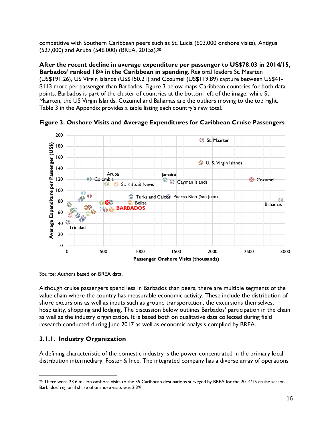competitive with Southern Caribbean peers such as St. Lucia (603,000 onshore visits), Antigua (527,000) and Aruba (546,000) (BREA, 2015a). 20

**After the recent decline in average expenditure per passenger to US\$78.03 in 2014/15, Barbados' ranked 18th in the Caribbean in spending**. Regional leaders St. Maarten (US\$191.26), US Virgin Islands (US\$150.21) and Cozumel (US\$119.89) capture between US\$41- \$113 more per passenger than Barbados. Figure 3 below maps Caribbean countries for both data points. Barbados is part of the cluster of countries at the bottom left of the image, while St. Maarten, the US Virgin Islands, Cozumel and Bahamas are the outliers moving to the top right. Table 3 in the Appendix provides a table listing each country's raw total.



**Figure 3. Onshore Visits and Average Expenditures for Caribbean Cruise Passengers**

Source: Authors based on BREA data.

Although cruise passengers spend less in Barbados than peers, there are multiple segments of the value chain where the country has measurable economic activity. These include the distribution of shore excursions as well as inputs such as ground transportation, the excursions themselves, hospitality, shopping and lodging. The discussion below outlines Barbados' participation in the chain as well as the industry organization. It is based both on qualitative data collected during field research conducted during June 2017 as well as economic analysis complied by BREA.

## **3.1.1. Industry Organization**

A defining characteristic of the domestic industry is the power concentrated in the primary local distribution intermediary: Foster & Ince. The integrated company has a diverse array of operations

 $\overline{a}$ <sup>20</sup> There were 23.6 million onshore visits to the 35 Caribbean destinations surveyed by BREA for the 2014/15 cruise season. Barbados' regional share of onshore visits was 2.3%.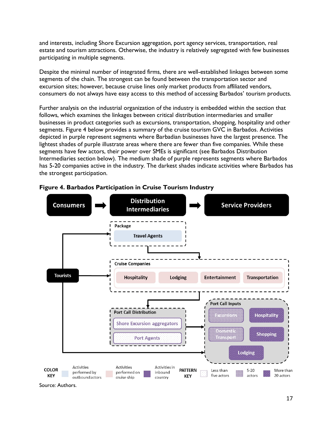and interests, including Shore Excursion aggregation, port agency services, transportation, real estate and tourism attractions. Otherwise, the industry is relatively segregated with few businesses participating in multiple segments.

Despite the minimal number of integrated firms, there are well-established linkages between some segments of the chain. The strongest can be found between the transportation sector and excursion sites; however, because cruise lines only market products from affiliated vendors, consumers do not always have easy access to this method of accessing Barbados' tourism products.

Further analysis on the industrial organization of the industry is embedded within the section that follows, which examines the linkages between critical distribution intermediaries and smaller businesses in product categories such as excursions, transportation, shopping, hospitality and other segments. Figure 4 below provides a summary of the cruise tourism GVC in Barbados. Activities depicted in purple represent segments where Barbadian businesses have the largest presence. The lightest shades of purple illustrate areas where there are fewer than five companies. While these segments have few actors, their power over SMEs is significant (see Barbados Distribution Intermediaries section below). The medium shade of purple represents segments where Barbados has 5-20 companies active in the industry. The darkest shades indicate activities where Barbados has the strongest participation.



#### **Figure 4. Barbados Participation in Cruise Tourism Industry**

Source: Authors.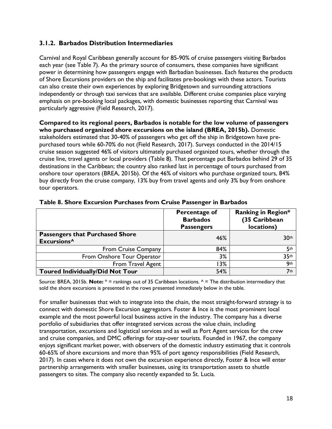## **3.1.2. Barbados Distribution Intermediaries**

Carnival and Royal Caribbean generally account for 85-90% of cruise passengers visiting Barbados each year (see Table 7). As the primary source of consumers, these companies have significant power in determining how passengers engage with Barbadian businesses. Each features the products of Shore Excursions providers on the ship and facilitates pre-bookings with these actors. Tourists can also create their own experiences by exploring Bridgetown and surrounding attractions independently or through taxi services that are available. Different cruise companies place varying emphasis on pre-booking local packages, with domestic businesses reporting that Carnival was particularly aggressive (Field Research, 2017).

**Compared to its regional peers, Barbados is notable for the low volume of passengers who purchased organized shore excursions on the island (BREA, 2015b).** Domestic stakeholders estimated that 30-40% of passengers who get off the ship in Bridgetown have prepurchased tours while 60-70% do not (Field Research, 2017). Surveys conducted in the 2014/15 cruise season suggested 46% of visitors ultimately purchased organized tours, whether through the cruise line, travel agents or local providers (Table 8). That percentage put Barbados behind 29 of 35 destinations in the Caribbean; the country also ranked last in percentage of tours purchased from onshore tour operators (BREA, 2015b). Of the 46% of visitors who purchase organized tours, 84% buy directly from the cruise company, 13% buy from travel agents and only 3% buy from onshore tour operators.

|                                                                   | Percentage of<br><b>Barbados</b><br><b>Passengers</b> | <b>Ranking in Region*</b><br>(35 Caribbean<br>locations) |
|-------------------------------------------------------------------|-------------------------------------------------------|----------------------------------------------------------|
| <b>Passengers that Purchased Shore</b><br>Excursions <sup>^</sup> | 46%                                                   | 30th                                                     |
| <b>From Cruise Company</b>                                        | 84%                                                   | 5 <sup>th</sup>                                          |
| From Onshore Tour Operator                                        | 3%                                                    | 35 <sup>th</sup>                                         |
| From Travel Agent                                                 | 3%                                                    | 9 <sub>th</sub>                                          |
| <b>Toured Individually/Did Not Tour</b>                           | 54%                                                   | 7 <sub>th</sub>                                          |

#### **Table 8. Shore Excursion Purchases from Cruise Passenger in Barbados**

Source: BREA, 2015b. **Note:** \* = rankings out of 35 Caribbean locations. ^ = The distribution intermediary that sold the shore excursions is presented in the rows presented immediately below in the table.

For smaller businesses that wish to integrate into the chain, the most straight-forward strategy is to connect with domestic Shore Excursion aggregators. Foster & Ince is the most prominent local example and the most powerful local business active in the industry. The company has a diverse portfolio of subsidiaries that offer integrated services across the value chain, including transportation, excursions and logistical services and as well as Port Agent services for the crew and cruise companies, and DMC offerings for stay-over tourists. Founded in 1967, the company enjoys significant market power, with observers of the domestic industry estimating that it controls 60-65% of shore excursions and more than 95% of port agency responsibilities (Field Research, 2017). In cases where it does not own the excursion experience directly, Foster & Ince will enter partnership arrangements with smaller businesses, using its transportation assets to shuttle passengers to sites. The company also recently expanded to St. Lucia.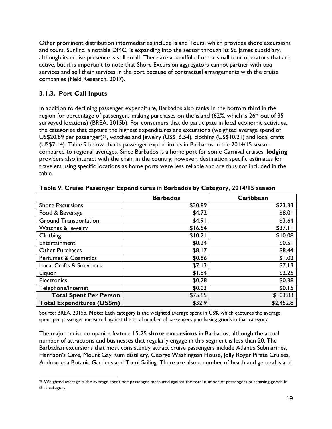Other prominent distribution intermediaries include Island Tours, which provides shore excursions and tours. Sunlinc, a notable DMC, is expanding into the sector through its St. James subsidiary, although its cruise presence is still small. There are a handful of other small tour operators that are active, but it is important to note that Shore Excursion aggregators cannot partner with taxi services and sell their services in the port because of contractual arrangements with the cruise companies (Field Research, 2017).

## **3.1.3. Port Call Inputs**

 $\overline{a}$ 

In addition to declining passenger expenditure, Barbados also ranks in the bottom third in the region for percentage of passengers making purchases on the island (62%, which is  $26<sup>th</sup>$  out of 35 surveyed locations) (BREA, 2015b). For consumers that do participate in local economic activities, the categories that capture the highest expenditures are excursions (weighted average spend of US\$20.89 per passenger)21, watches and jewelry (US\$16.54), clothing (US\$10.21) and local crafts (US\$7.14). Table 9 below charts passenger expenditures in Barbados in the 2014/15 season compared to regional averages. Since Barbados is a home port for some Carnival cruises, **lodging** providers also interact with the chain in the country; however, destination specific estimates for travelers using specific locations as home ports were less reliable and are thus not included in the table.

|                                   | <b>Barbados</b> | Caribbean |
|-----------------------------------|-----------------|-----------|
| <b>Shore Excursions</b>           | \$20.89         | \$23.33   |
| Food & Beverage                   | \$4.72          | \$8.01    |
| <b>Ground Transportation</b>      | \$4.91          | \$3.64    |
| Watches & Jewelry                 | \$16.54         | \$37.11   |
| Clothing                          | \$10.21         | \$10.08   |
| Entertainment                     | \$0.24          | \$0.51    |
| <b>Other Purchases</b>            | \$8.17          | \$8.44    |
| <b>Perfumes &amp; Cosmetics</b>   | \$0.86          | \$1.02    |
| Local Crafts & Souvenirs          | \$7.13          | \$7.13    |
| Liquor                            | \$1.84          | \$2.25    |
| <b>Electronics</b>                | \$0.28          | \$0.38    |
| Telephone/Internet                | \$0.03          | \$0.15    |
| <b>Total Spent Per Person</b>     | \$75.85         | \$103.83  |
| <b>Total Expenditures (US\$m)</b> | \$32.9          | \$2,452.8 |

**Table 9. Cruise Passenger Expenditures in Barbados by Category, 2014/15 season**

Source: BREA, 2015b. **Note:** Each category is the weighted average spent in US\$, which captures the average spent per passenger measured against the total number of passengers purchasing goods in that category.

The major cruise companies feature 15-25 **shore excursions** in Barbados, although the actual number of attractions and businesses that regularly engage in this segment is less than 20. The Barbadian excursions that most consistently attract cruise passengers include Atlantis Submarines, Harrison's Cave, Mount Gay Rum distillery, George Washington House, Jolly Roger Pirate Cruises, Andromeda Botanic Gardens and Tiami Sailing. There are also a number of beach and general island

<sup>21</sup> Weighted average is the average spent per passenger measured against the total number of passengers purchasing goods in that category.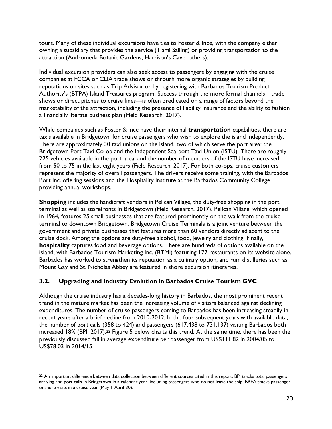tours. Many of these individual excursions have ties to Foster & Ince, with the company either owning a subsidiary that provides the service (Tiami Sailing) or providing transportation to the attraction (Andromeda Botanic Gardens, Harrison's Cave, others).

Individual excursion providers can also seek access to passengers by engaging with the cruise companies at FCCA or CLIA trade shows or through more organic strategies by building reputations on sites such as Trip Advisor or by registering with Barbados Tourism Product Authority's (BTPA) Island Treasures program. Success through the more formal channels—trade shows or direct pitches to cruise lines—is often predicated on a range of factors beyond the marketability of the attraction, including the presence of liability insurance and the ability to fashion a financially literate business plan (Field Research, 2017).

While companies such as Foster & Ince have their internal **transportation** capabilities, there are taxis available in Bridgetown for cruise passengers who wish to explore the island independently. There are approximately 30 taxi unions on the island, two of which serve the port area: the Bridgetown Port Taxi Co-op and the Independent Sea-port Taxi Union (ISTU). There are roughly 225 vehicles available in the port area, and the number of members of the ISTU have increased from 50 to 75 in the last eight years (Field Research, 2017). For both co-ops, cruise customers represent the majority of overall passengers. The drivers receive some training, with the Barbados Port Inc. offering sessions and the Hospitality Institute at the Barbados Community College providing annual workshops.

**Shopping** includes the handicraft vendors in Pelican Village, the duty-free shopping in the port terminal as well as storefronts in Bridgetown (Field Research, 2017). Pelican Village, which opened in 1964, features 25 small businesses that are featured prominently on the walk from the cruise terminal to downtown Bridgetown. Bridgetown Cruise Terminals is a joint venture between the government and private businesses that features more than 60 vendors directly adjacent to the cruise dock. Among the options are duty-free alcohol, food, jewelry and clothing. Finally, **hospitality** captures food and beverage options. There are hundreds of options available on the island, with Barbados Tourism Marketing Inc. (BTMI) featuring 177 restaurants on its website alone. Barbados has worked to strengthen its reputation as a culinary option, and rum distilleries such as Mount Gay and St. Nicholas Abbey are featured in shore excursion itineraries.

#### **3.2. Upgrading and Industry Evolution in Barbados Cruise Tourism GVC**

 $\overline{a}$ 

Although the cruise industry has a decades-long history in Barbados, the most prominent recent trend in the mature market has been the increasing volume of visitors balanced against declining expenditures. The number of cruise passengers coming to Barbados has been increasing steadily in recent years after a brief decline from 2010-2012. In the four subsequent years with available data, the number of port calls (358 to 424) and passengers (617,438 to 731,137) visiting Barbados both increased 18% (BPI, 2017).22 Figure 5 below charts this trend. At the same time, there has been the previously discussed fall in average expenditure per passenger from US\$111.82 in 2004/05 to US\$78.03 in 2014/15.

<sup>22</sup> An important difference between data collection between different sources cited in this report: BPI tracks total passengers arriving and port calls in Bridgetown in a calendar year, including passengers who do not leave the ship. BREA tracks passenger onshore visits in a cruise year (May 1-April 30).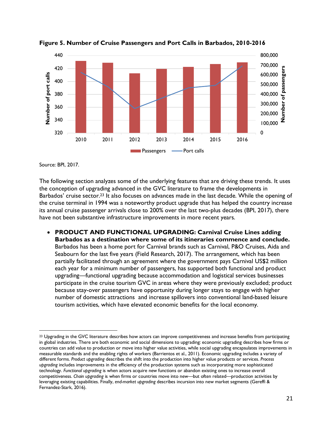

**Figure 5. Number of Cruise Passengers and Port Calls in Barbados, 2010-2016**

Source: BPI, 2017.

 $\overline{a}$ 

The following section analyzes some of the underlying features that are driving these trends. It uses the conception of upgrading advanced in the GVC literature to frame the developments in Barbados' cruise sector.<sup>23</sup> It also focuses on advances made in the last decade. While the opening of the cruise terminal in 1994 was a noteworthy product upgrade that has helped the country increase its annual cruise passenger arrivals close to 200% over the last two-plus decades (BPI, 2017), there have not been substantive infrastructure improvements in more recent years.

• **PRODUCT AND FUNCTIONAL UPGRADING: Carnival Cruise Lines adding Barbados as a destination where some of its itineraries commence and conclude.**  Barbados has been a home port for Carnival brands such as Carnival, P&O Cruises, Aida and Seabourn for the last five years (Field Research, 2017). The arrangement, which has been partially facilitated through an agreement where the government pays Carnival US\$2 million each year for a minimum number of passengers, has supported both functional and product upgrading—functional upgrading because accommodation and logistical services businesses participate in the cruise tourism GVC in areas where they were previously excluded; product because stay-over passengers have opportunity during longer stays to engage with higher number of domestic attractions and increase spillovers into conventional land-based leisure tourism activities, which have elevated economic benefits for the local economy.

<sup>&</sup>lt;sup>23</sup> Upgrading in the GVC literature describes how actors can improve competitiveness and increase benefits from participating in global industries. There are both economic and social dimensions to upgrading: economic upgrading describes how firms or countries can add value to production or move into higher value activities, while social upgrading encapsulates improvements in measurable standards and the enabling rights of workers (Barrientos et al., 2011). Economic upgrading includes a variety of different forms. *Product upgrading* describes the shift into the production into higher value products or services. *Process upgrading* includes improvements in the efficiency of the production systems such as incorporating more sophisticated technology. *Functional upgrading* is when actors acquire new functions or abandon existing ones to increase overall competitiveness. *Chain upgrading* is when firms or countries move into new—but often related—production activities by leveraging existing capabilities. Finally, *end-market upgrading* describes incursion into new market segments (Gereffi & Fernandez-Stark, 2016).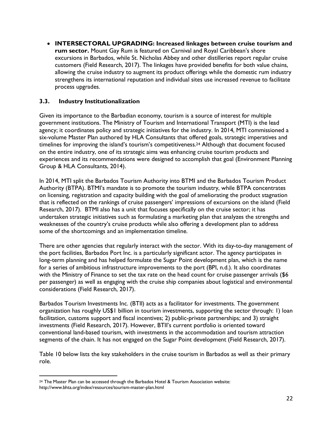• **INTERSECTORAL UPGRADING: Increased linkages between cruise tourism and rum sector.** Mount Gay Rum is featured on Carnival and Royal Caribbean's shore excursions in Barbados, while St. Nicholas Abbey and other distilleries report regular cruise customers (Field Research, 2017). The linkages have provided benefits for both value chains, allowing the cruise industry to augment its product offerings while the domestic rum industry strengthens its international reputation and individual sites use increased revenue to facilitate process upgrades.

#### **3.3. Industry Institutionalization**

Given its importance to the Barbadian economy, tourism is a source of interest for multiple government institutions. The Ministry of Tourism and International Transport (MTI) is the lead agency; it coordinates policy and strategic initiatives for the industry. In 2014, MTI commissioned a six-volume Master Plan authored by HLA Consultants that offered goals, strategic imperatives and timelines for improving the island's tourism's competitiveness.24 Although that document focused on the entire industry, one of its strategic aims was enhancing cruise tourism products and experiences and its recommendations were designed to accomplish that goal (Environment Planning Group & HLA Consultants, 2014).

In 2014, MTI split the Barbados Tourism Authority into BTMI and the Barbados Tourism Product Authority (BTPA). BTMI's mandate is to promote the tourism industry, while BTPA concentrates on licensing, registration and capacity building with the goal of ameliorating the product stagnation that is reflected on the rankings of cruise passengers' impressions of excursions on the island (Field Research, 2017). BTMI also has a unit that focuses specifically on the cruise sector; it has undertaken strategic initiatives such as formulating a marketing plan that analyzes the strengths and weaknesses of the country's cruise products while also offering a development plan to address some of the shortcomings and an implementation timeline.

There are other agencies that regularly interact with the sector. With its day-to-day management of the port facilities, Barbados Port Inc. is a particularly significant actor. The agency participates in long-term planning and has helped formulate the Sugar Point development plan, which is the name for a series of ambitious infrastructure improvements to the port (BPI, n.d.). It also coordinates with the Ministry of Finance to set the tax rate on the head count for cruise passenger arrivals (\$6 per passenger) as well as engaging with the cruise ship companies about logistical and environmental considerations (Field Research, 2017).

Barbados Tourism Investments Inc. (BTII) acts as a facilitator for investments. The government organization has roughly US\$1 billion in tourism investments, supporting the sector through: 1) loan facilitation, customs support and fiscal incentives; 2) public-private partnerships; and 3) straight investments (Field Research, 2017). However, BTII's current portfolio is oriented toward conventional land-based tourism, with investments in the accommodation and tourism attraction segments of the chain. It has not engaged on the Sugar Point development (Field Research, 2017).

Table 10 below lists the key stakeholders in the cruise tourism in Barbados as well as their primary role.

 $\overline{a}$ 

<sup>24</sup> The Master Plan can be accessed through the Barbados Hotel & Tourism Association website: http://www.bhta.org/index/resources/tourism-master-plan.html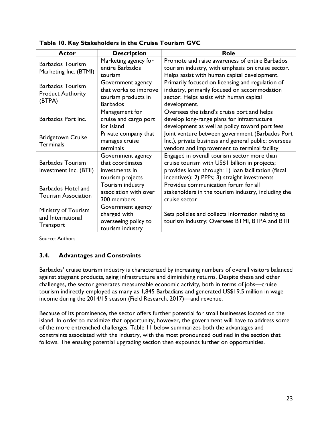| Actor                                                         | <b>Description</b>                                                                   | Role                                                                                                                                                                                                   |
|---------------------------------------------------------------|--------------------------------------------------------------------------------------|--------------------------------------------------------------------------------------------------------------------------------------------------------------------------------------------------------|
| <b>Barbados Tourism</b><br>Marketing Inc. (BTMI)              | Marketing agency for<br>entire Barbados<br>tourism                                   | Promote and raise awareness of entire Barbados<br>tourism industry, with emphasis on cruise sector.<br>Helps assist with human capital development.                                                    |
| <b>Barbados Tourism</b><br><b>Product Authority</b><br>(BTPA) | Government agency<br>that works to improve<br>tourism products in<br><b>Barbados</b> | Primarily focused on licensing and regulation of<br>industry, primarily focused on accommodation<br>sector. Helps assist with human capital<br>development.                                            |
| Barbados Port Inc.                                            | Management for<br>cruise and cargo port<br>for island                                | Oversees the island's cruise port and helps<br>develop long-range plans for infrastructure<br>development as well as policy toward port fees                                                           |
| <b>Bridgetown Cruise</b><br><b>Terminals</b>                  | Private company that<br>manages cruise<br>terminals                                  | Joint venture between government (Barbados Port<br>Inc.), private business and general public; oversees<br>vendors and improvement to terminal facility                                                |
| <b>Barbados Tourism</b><br>Investment Inc. (BTII)             | Government agency<br>that coordinates<br>investments in<br>tourism projects          | Engaged in overall tourism sector more than<br>cruise tourism with US\$1 billion in projects;<br>provides loans through: 1) loan facilitation (fiscal<br>incentives); 2) PPPs; 3) straight investments |
| Barbados Hotel and<br><b>Tourism Association</b>              | Tourism industry<br>association with over<br>300 members                             | Provides communication forum for all<br>stakeholders in the tourism industry, including the<br>cruise sector                                                                                           |
| Ministry of Tourism<br>and International<br><b>Transport</b>  | Government agency<br>charged with<br>overseeing policy to<br>tourism industry        | Sets policies and collects information relating to<br>tourism industry; Oversees BTMI, BTPA and BTII                                                                                                   |

**Table 10. Key Stakeholders in the Cruise Tourism GVC**

Source: Authors.

#### **3.4. Advantages and Constraints**

Barbados' cruise tourism industry is characterized by increasing numbers of overall visitors balanced against stagnant products, aging infrastructure and diminishing returns. Despite these and other challenges, the sector generates measureable economic activity, both in terms of jobs—cruise tourism indirectly employed as many as 1,845 Barbadians and generated US\$19.5 million in wage income during the 2014/15 season (Field Research, 2017)—and revenue.

Because of its prominence, the sector offers further potential for small businesses located on the island. In order to maximize that opportunity, however, the government will have to address some of the more entrenched challenges. Table 11 below summarizes both the advantages and constraints associated with the industry, with the most pronounced outlined in the section that follows. The ensuing potential upgrading section then expounds further on opportunities.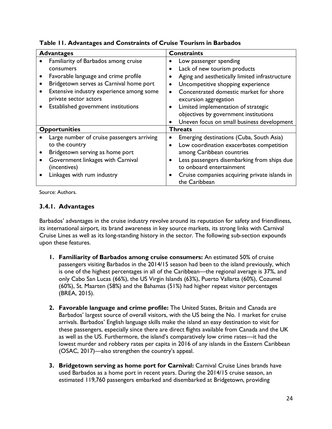| <b>Advantages</b>                                                 |           | <b>Constraints</b>                                              |
|-------------------------------------------------------------------|-----------|-----------------------------------------------------------------|
| Familiarity of Barbados among cruise                              |           | Low passenger spending                                          |
| consumers                                                         |           | Lack of new tourism products                                    |
| Favorable language and crime profile                              |           | Aging and aesthetically limited infrastructure                  |
| Bridgetown serves as Carnival home port                           |           | Uncompetitive shopping experience                               |
| Extensive industry experience among some<br>private sector actors |           | Concentrated domestic market for shore<br>excursion aggregation |
| Established government institutions                               |           | Limited implementation of strategic                             |
|                                                                   |           | objectives by government institutions                           |
|                                                                   | $\bullet$ | Uneven focus on small business development                      |
| <b>Opportunities</b>                                              |           | <b>Threats</b>                                                  |
| Large number of cruise passengers arriving                        |           | Emerging destinations (Cuba, South Asia)                        |
| to the country                                                    | $\bullet$ | Low coordination exacerbates competition                        |
| Bridgetown serving as home port                                   |           | among Caribbean countries                                       |
| Government linkages with Carnival                                 |           | Less passengers disembarking from ships due                     |
| (incentives)                                                      |           | to onboard entertainment                                        |
| Linkages with rum industry                                        |           | Cruise companies acquiring private islands in<br>the Caribbean  |

**Table 11. Advantages and Constraints of Cruise Tourism in Barbados**

Source: Authors.

## **3.4.1. Advantages**

Barbados' advantages in the cruise industry revolve around its reputation for safety and friendliness, its international airport, its brand awareness in key source markets, its strong links with Carnival Cruise Lines as well as its long-standing history in the sector. The following sub-section expounds upon these features.

- **1. Familiarity of Barbados among cruise consumers:** An estimated 50% of cruise passengers visiting Barbados in the 2014/15 season had been to the island previously, which is one of the highest percentages in all of the Caribbean—the regional average is 37%, and only Cabo San Lucas (66%), the US Virgin Islands (63%), Puerto Vallarta (60%), Cozumel (60%), St. Maarten (58%) and the Bahamas (51%) had higher repeat visitor percentages (BREA, 2015).
- **2. Favorable language and crime profile:** The United States, Britain and Canada are Barbados' largest source of overall visitors, with the US being the No. 1 market for cruise arrivals. Barbados' English language skills make the island an easy destination to visit for these passengers, especially since there are direct flights available from Canada and the UK as well as the US. Furthermore, the island's comparatively low crime rates—it had the lowest murder and robbery rates per capita in 2016 of any islands in the Eastern Caribbean (OSAC, 2017)—also strengthen the country's appeal.
- **3. Bridgetown serving as home port for Carnival:** Carnival Cruise Lines brands have used Barbados as a home port in recent years. During the 2014/15 cruise season, an estimated 119,760 passengers embarked and disembarked at Bridgetown, providing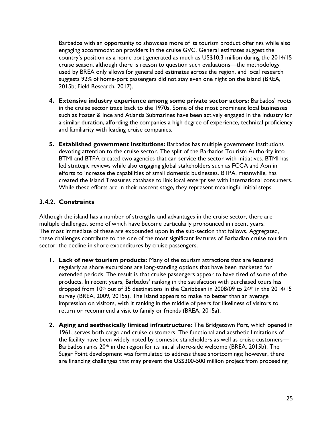Barbados with an opportunity to showcase more of its tourism product offerings while also engaging accommodation providers in the cruise GVC. General estimates suggest the country's position as a home port generated as much as US\$10.3 million during the 2014/15 cruise season, although there is reason to question such evaluations—the methodology used by BREA only allows for generalized estimates across the region, and local research suggests 92% of home-port passengers did not stay even one night on the island (BREA, 2015b; Field Research, 2017).

- **4. Extensive industry experience among some private sector actors:** Barbados' roots in the cruise sector trace back to the 1970s. Some of the most prominent local businesses such as Foster & Ince and Atlantis Submarines have been actively engaged in the industry for a similar duration, affording the companies a high degree of experience, technical proficiency and familiarity with leading cruise companies.
- **5. Established government institutions:** Barbados has multiple government institutions devoting attention to the cruise sector. The split of the Barbados Tourism Authority into BTMI and BTPA created two agencies that can service the sector with initiatives. BTMI has led strategic reviews while also engaging global stakeholders such as FCCA and Aon in efforts to increase the capabilities of small domestic businesses. BTPA, meanwhile, has created the Island Treasures database to link local enterprises with international consumers. While these efforts are in their nascent stage, they represent meaningful initial steps.

## **3.4.2. Constraints**

Although the island has a number of strengths and advantages in the cruise sector, there are multiple challenges, some of which have become particularly pronounced in recent years. The most immediate of these are expounded upon in the sub-section that follows. Aggregated, these challenges contribute to the one of the most significant features of Barbadian cruise tourism sector: the decline in shore expenditures by cruise passengers.

- **1. Lack of new tourism products:** Many of the tourism attractions that are featured regularly as shore excursions are long-standing options that have been marketed for extended periods. The result is that cruise passengers appear to have tired of some of the products. In recent years, Barbados' ranking in the satisfaction with purchased tours has dropped from 10<sup>th</sup> out of 35 destinations in the Caribbean in 2008/09 to 24<sup>th</sup> in the 2014/15 survey (BREA, 2009, 2015a). The island appears to make no better than an average impression on visitors, with it ranking in the middle of peers for likeliness of visitors to return or recommend a visit to family or friends (BREA, 2015a).
- **2. Aging and aesthetically limited infrastructure:** The Bridgetown Port, which opened in 1961, serves both cargo and cruise customers. The functional and aesthetic limitations of the facility have been widely noted by domestic stakeholders as well as cruise customers— Barbados ranks 20th in the region for its initial shore-side welcome (BREA, 2015b). The Sugar Point development was formulated to address these shortcomings; however, there are financing challenges that may prevent the US\$300-500 million project from proceeding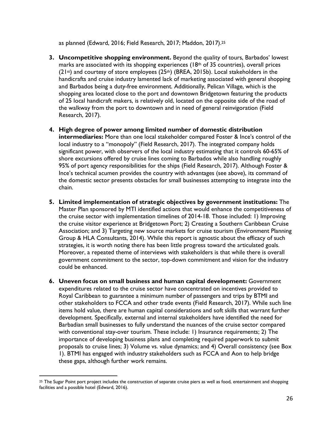as planned (Edward, 2016; Field Research, 2017; Maddon, 2017).25

- **3. Uncompetitive shopping environment.** Beyond the quality of tours, Barbados' lowest marks are associated with its shopping experiences ( $18<sup>th</sup>$  of 35 countries), overall prices  $(21st)$  and courtesy of store employees  $(25th)$  (BREA, 2015b). Local stakeholders in the handicrafts and cruise industry lamented lack of marketing associated with general shopping and Barbados being a duty-free environment. Additionally, Pelican Village, which is the shopping area located close to the port and downtown Bridgetown featuring the products of 25 local handicraft makers, is relatively old, located on the opposite side of the road of the walkway from the port to downtown and in need of general reinvigoration (Field Research, 2017).
- **4. High degree of power among limited number of domestic distribution intermediaries:** More than one local stakeholder compared Foster & Ince's control of the local industry to a "monopoly" (Field Research, 2017). The integrated company holds significant power, with observers of the local industry estimating that it controls 60-65% of shore excursions offered by cruise lines coming to Barbados while also handling roughly 95% of port agency responsibilities for the ships (Field Research, 2017). Although Foster & Ince's technical acumen provides the country with advantages (see above), its command of the domestic sector presents obstacles for small businesses attempting to integrate into the chain.
- **5. Limited implementation of strategic objectives by government institutions:** The Master Plan sponsored by MTI identified actions that would enhance the competitiveness of the cruise sector with implementation timelines of 2014-18. Those included: 1) Improving the cruise visitor experience at Bridgetown Port; 2) Creating a Southern Caribbean Cruise Association; and 3) Targeting new source markets for cruise tourism (Environment Planning Group & HLA Consultants, 2014). While this report is agnostic about the efficacy of such strategies, it is worth noting there has been little progress toward the articulated goals. Moreover, a repeated theme of interviews with stakeholders is that while there is overall government commitment to the sector, top-down commitment and vision for the industry could be enhanced.
- **6. Uneven focus on small business and human capital development:** Government expenditures related to the cruise sector have concentrated on incentives provided to Royal Caribbean to guarantee a minimum number of passengers and trips by BTMI and other stakeholders to FCCA and other trade events (Field Research, 2017). While such line items hold value, there are human capital considerations and soft skills that warrant further development. Specifically, external and internal stakeholders have identified the need for Barbadian small businesses to fully understand the nuances of the cruise sector compared with conventional stay-over tourism. These include: 1) Insurance requirements; 2) The importance of developing business plans and completing required paperwork to submit proposals to cruise lines; 3) Volume vs. value dynamics; and 4) Overall consistency (see Box 1). BTMI has engaged with industry stakeholders such as FCCA and Aon to help bridge these gaps, although further work remains.

 $\overline{a}$ 

<sup>&</sup>lt;sup>25</sup> The Sugar Point port project includes the construction of separate cruise piers as well as food, entertainment and shopping facilities and a possible hotel (Edward, 2016).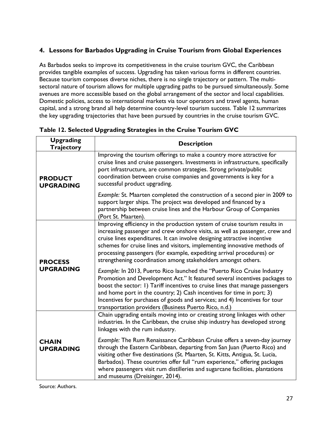## **4. Lessons for Barbados Upgrading in Cruise Tourism from Global Experiences**

As Barbados seeks to improve its competitiveness in the cruise tourism GVC, the Caribbean provides tangible examples of success. Upgrading has taken various forms in different countries. Because tourism composes diverse niches, there is no single trajectory or pattern. The multisectoral nature of tourism allows for multiple upgrading paths to be pursued simultaneously. Some avenues are more accessible based on the global arrangement of the sector and local capabilities. Domestic policies, access to international markets via tour operators and travel agents, human capital, and a strong brand all help determine country-level tourism success. Table 12 summarizes the key upgrading trajectories that have been pursued by countries in the cruise tourism GVC.

| <b>Upgrading</b><br><b>Trajectory</b> | <b>Description</b>                                                                                                                                                                                                                                                                                                                                                                                                                                            |
|---------------------------------------|---------------------------------------------------------------------------------------------------------------------------------------------------------------------------------------------------------------------------------------------------------------------------------------------------------------------------------------------------------------------------------------------------------------------------------------------------------------|
| <b>PRODUCT</b><br><b>UPGRADING</b>    | Improving the tourism offerings to make a country more attractive for<br>cruise lines and cruise passengers. Investments in infrastructure, specifically<br>port infrastructure, are common strategies. Strong private/public<br>coordination between cruise companies and governments is key for a<br>successful product upgrading.                                                                                                                          |
|                                       | Example: St. Maarten completed the construction of a second pier in 2009 to<br>support larger ships. The project was developed and financed by a<br>partnership between cruise lines and the Harbour Group of Companies<br>(Port St. Maarten).                                                                                                                                                                                                                |
| <b>PROCESS</b>                        | Improving efficiency in the production system of cruise tourism results in<br>increasing passenger and crew onshore visits, as well as passenger, crew and<br>cruise lines expenditures. It can involve designing attractive incentive<br>schemes for cruise lines and visitors, implementing innovative methods of<br>processing passengers (for example, expediting arrival procedures) or<br>strengthening coordination among stakeholders amongst others. |
| <b>UPGRADING</b>                      | Example: In 2013, Puerto Rico launched the "Puerto Rico Cruise Industry<br>Promotion and Development Act." It featured several incentives packages to<br>boost the sector: 1) Tariff incentives to cruise lines that manage passengers<br>and home port in the country; 2) Cash incentives for time in port; 3)<br>Incentives for purchases of goods and services; and 4) Incentives for tour<br>transportation providers (Business Puerto Rico, n.d.)        |
|                                       | Chain upgrading entails moving into or creating strong linkages with other<br>industries. In the Caribbean, the cruise ship industry has developed strong<br>linkages with the rum industry.                                                                                                                                                                                                                                                                  |
| <b>CHAIN</b><br><b>UPGRADING</b>      | Example: The Rum Renaissance Caribbean Cruise offers a seven-day journey<br>through the Eastern Caribbean, departing from San Juan (Puerto Rico) and<br>visiting other five destinations (St. Maarten, St. Kitts, Antigua, St. Lucia,<br>Barbados). These countries offer full "rum experience," offering packages<br>where passengers visit rum distilleries and sugarcane facilities, plantations<br>and museums (Dreisinger, 2014).                        |

**Table 12. Selected Upgrading Strategies in the Cruise Tourism GVC**

Source: Authors.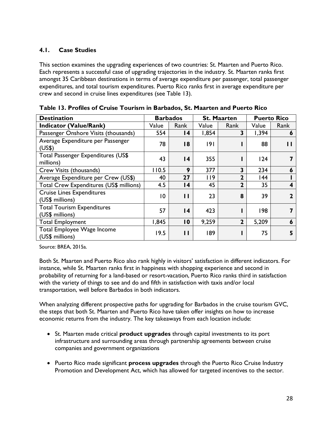#### **4.1. Case Studies**

This section examines the upgrading experiences of two countries: St. Maarten and Puerto Rico. Each represents a successful case of upgrading trajectories in the industry. St. Maarten ranks first amongst 35 Caribbean destinations in terms of average expenditure per passenger, total passenger expenditures, and total tourism expenditures. Puerto Rico ranks first in average expenditure per crew and second in cruise lines expenditures (see Table 13).

| <b>Destination</b>                                   | <b>Barbados</b> |                 |       | <b>St. Maarten</b> | <b>Puerto Rico</b> |              |
|------------------------------------------------------|-----------------|-----------------|-------|--------------------|--------------------|--------------|
| <b>Indicator (Value/Rank)</b>                        | Value           | Rank            | Value | Rank               | Value              | Rank         |
| Passenger Onshore Visits (thousands)                 | 554             | 14              | 1,854 | 3                  | 1,394              | 6            |
| Average Expenditure per Passenger<br>(US\$)          | 78              | 18              | 9     |                    | 88                 | Н            |
| Total Passenger Expenditures (US\$<br>millions)      | 43              | $\overline{14}$ | 355   |                    | 124                | 7            |
| Crew Visits (thousands)                              | 110.5           | 9               | 377   | 3                  | 234                | 6            |
| Average Expenditure per Crew (US\$)                  | 40              | 27              | 119   | $\overline{2}$     | 144                |              |
| Total Crew Expenditures (US\$ millions)              | 4.5             | $\overline{14}$ | 45    | $\mathbf{2}$       | 35                 | 4            |
| <b>Cruise Lines Expenditures</b><br>(US\$ millions)  | $\overline{0}$  | $\mathbf{I}$    | 23    | 8                  | 39                 | $\mathbf{2}$ |
| <b>Total Tourism Expenditures</b><br>(US\$ millions) | 57              | $\overline{14}$ | 423   |                    | 198                | 7            |
| <b>Total Employment</b>                              | 1,845           | 10              | 9,259 | $\overline{2}$     | 5,209              | 6            |
| Total Employee Wage Income<br>(US\$ millions)        | 19.5            | П               | 189   |                    | 75                 | 5            |

| Table 13. Profiles of Cruise Tourism in Barbados, St. Maarten and Puerto Rico |  |  |  |  |  |  |  |  |  |  |
|-------------------------------------------------------------------------------|--|--|--|--|--|--|--|--|--|--|
|-------------------------------------------------------------------------------|--|--|--|--|--|--|--|--|--|--|

Source: BREA, 2015a.

Both St. Maarten and Puerto Rico also rank highly in visitors' satisfaction in different indicators. For instance, while St. Maarten ranks first in happiness with shopping experience and second in probability of returning for a land-based or resort-vacation, Puerto Rico ranks third in satisfaction with the variety of things to see and do and fifth in satisfaction with taxis and/or local transportation, well before Barbados in both indicators.

When analyzing different prospective paths for upgrading for Barbados in the cruise tourism GVC, the steps that both St. Maarten and Puerto Rico have taken offer insights on how to increase economic returns from the industry. The key takeaways from each location include:

- St. Maarten made critical **product upgrades** through capital investments to its port infrastructure and surrounding areas through partnership agreements between cruise companies and government organizations
- Puerto Rico made significant **process upgrades** through the Puerto Rico Cruise Industry Promotion and Development Act, which has allowed for targeted incentives to the sector.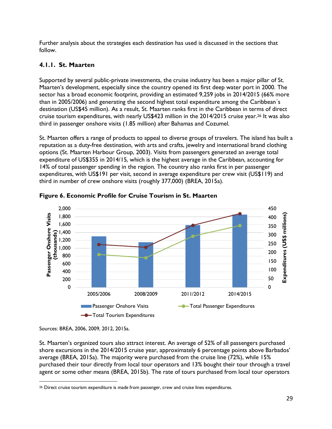Further analysis about the strategies each destination has used is discussed in the sections that follow.

## **4.1.1. St. Maarten**

Supported by several public-private investments, the cruise industry has been a major pillar of St. Maarten's development, especially since the country opened its first deep water port in 2000. The sector has a broad economic footprint, providing an estimated 9,259 jobs in 2014/2015 (66% more than in 2005/2006) and generating the second highest total expenditure among the Caribbean´s destination (US\$45 million). As a result, St. Maarten ranks first in the Caribbean in terms of direct cruise tourism expenditures, with nearly US\$423 million in the 2014/2015 cruise year.26 It was also third in passenger onshore visits (1.85 million) after Bahamas and Cozumel.

St. Maarten offers a range of products to appeal to diverse groups of travelers. The island has built a reputation as a duty-free destination, with arts and crafts, jewelry and international brand clothing options (St. Maarten Harbour Group, 2003). Visits from passengers generated an average total expenditure of US\$355 in 2014/15, which is the highest average in the Caribbean, accounting for 14% of total passenger spending in the region. The country also ranks first in per passenger expenditures, with US\$191 per visit, second in average expenditure per crew visit (US\$119) and third in number of crew onshore visits (roughly 377,000) (BREA, 2015a).



**Figure 6. Economic Profile for Cruise Tourism in St. Maarten**

St. Maarten's organized tours also attract interest. An average of 52% of all passengers purchased shore excursions in the 2014/2015 cruise year, approximately 6 percentage points above Barbados' average (BREA, 2015a). The majority were purchased from the cruise line (72%), while 15% purchased their tour directly from local tour operators and 13% bought their tour through a travel agent or some other means (BREA, 2015b). The rate of tours purchased from local tour operators

Sources: BREA, 2006, 2009, 2012, 2015a.

 $\overline{a}$ <sup>26</sup> Direct cruise tourism expenditure is made from passenger, crew and cruise lines expenditures.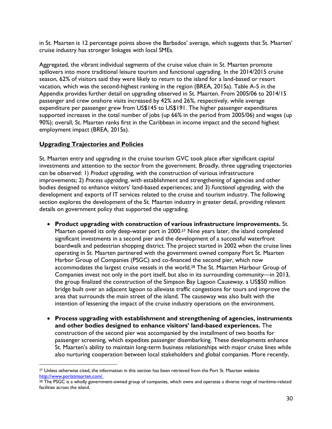in St. Maarten is 12 percentage points above the Barbados' average, which suggests that St. Maarten' cruise industry has stronger linkages with local SMEs.

Aggregated, the vibrant individual segments of the cruise value chain in St. Maarten promote spillovers into more traditional leisure tourism and functional upgrading. In the 2014/2015 cruise season, 62% of visitors said they were likely to return to the island for a land-based or resort vacation, which was the second-highest ranking in the region (BREA, 2015a). Table A-5 in the Appendix provides further detail on upgrading observed in St. Maarten. From 2005/06 to 2014/15 passenger and crew onshore visits increased by 42% and 26%, respectively, while average expenditure per passenger grew from US\$145 to US\$191. The higher passenger expenditures supported increases in the total number of jobs (up 66% in the period from 2005/06) and wages (up 90%); overall, St. Maarten ranks first in the Caribbean in income impact and the second highest employment impact (BREA, 2015a).

#### **Upgrading Trajectories and Policies**

 $\overline{a}$ 

St. Maarten entry and upgrading in the cruise tourism GVC took place after significant capital investments and attention to the sector from the government. Broadly, three upgrading trajectories can be observed: 1) *Product upgrading,* with the construction of various infrastructure improvements; 2) *Process upgrading,* with establishment and strengthening of agencies and other bodies designed to enhance visitors' land-based experiences; and 3) *Functional upgrading,* with the development and exports of IT services related to the cruise and tourism industry. The following section explores the development of the St. Maarten industry in greater detail, providing relevant details on government policy that supported the upgrading.

- **Product upgrading with construction of various infrastructure improvements.** St. Maarten opened its only deep-water port in 2000.27 Nine years later, the island completed significant investments in a second pier and the development of a successful waterfront boardwalk and pedestrian shopping district. The project started in 2002 when the cruise lines operating in St. Maarten partnered with the government owned company Port St. Maarten Harbor Group of Companies (PSGC) and co-financed the second pier, which now accommodates the largest cruise vessels in the world.28 The St. Maarten Harbour Group of Companies invest not only in the port itself, but also in its surrounding community—in 2013, the group finalized the construction of the Simpson Bay Lagoon Causeway, a US\$50 million bridge built over an adjacent lagoon to alleviate traffic congestions for tours and improve the area that surrounds the main street of the island. The causeway was also built with the intention of lessening the impact of the cruise industry operations on the environment.
- **Process upgrading with establishment and strengthening of agencies, instruments and other bodies designed to enhance visitors' land-based experiences.** The construction of the second pier was accompanied by the installment of two booths for passenger screening, which expedites passenger disembarking. These developments enhance St. Maarten's ability to maintain long-term business relationships with major cruise lines while also nurturing cooperation between local stakeholders and global companies. More recently,

<sup>27</sup> Unless otherwise cited, the information in this section has been retrieved from the Port St. Maarten website: http://www.portstmaarten.com/.

<sup>&</sup>lt;sup>28</sup> The PSGC is a wholly government-owned group of companies, which owns and operates a diverse range of maritime-related facilities across the island.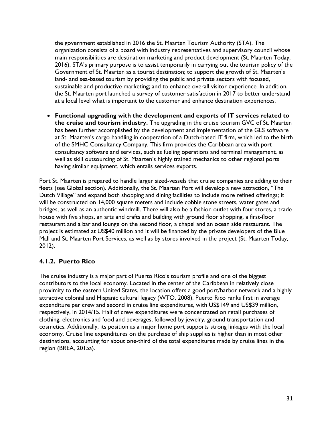the government established in 2016 the St. Maarten Tourism Authority (STA). The organization consists of a board with industry representatives and supervisory council whose main responsibilities are destination marketing and product development (St. Maarten Today, 2016). STA's primary purpose is to assist temporarily in carrying out the tourism policy of the Government of St. Maarten as a tourist destination; to support the growth of St. Maarten's land- and sea-based tourism by providing the public and private sectors with focused, sustainable and productive marketing; and to enhance overall visitor experience. In addition, the St. Maarten port launched a survey of customer satisfaction in 2017 to better understand at a local level what is important to the customer and enhance destination experiences.

• **Functional upgrading with the development and exports of IT services related to the cruise and tourism industry.** The upgrading in the cruise tourism GVC of St. Maarten has been further accomplished by the development and implementation of the GLS software at St. Maarten's cargo handling in cooperation of a Dutch-based IT firm, which led to the birth of the SMHC Consultancy Company. This firm provides the Caribbean area with port consultancy software and services, such as fueling operations and terminal management, as well as skill outsourcing of St. Maarten's highly trained mechanics to other regional ports having similar equipment, which entails services exports.

Port St. Maarten is prepared to handle larger sized-vessels that cruise companies are adding to their fleets (see Global section). Additionally, the St. Maarten Port will develop a new attraction, "The Dutch Village" and expand both shopping and dining facilities to include more refined offerings; it will be constructed on 14,000 square meters and include cobble stone streets, water gates and bridges, as well as an authentic windmill. There will also be a fashion outlet with four stores, a trade house with five shops, an arts and crafts and building with ground floor shopping, a first-floor restaurant and a bar and lounge on the second floor, a chapel and an ocean side restaurant. The project is estimated at US\$40 million and it will be financed by the private developers of the Blue Mall and St. Maarten Port Services, as well as by stores involved in the project (St. Maarten Today, 2012).

#### **4.1.2. Puerto Rico**

The cruise industry is a major part of Puerto Rico's tourism profile and one of the biggest contributors to the local economy. Located in the center of the Caribbean in relatively close proximity to the eastern United States, the location offers a good port/harbor network and a highly attractive colonial and Hispanic cultural legacy (WTO, 2008). Puerto Rico ranks first in average expenditure per crew and second in cruise line expenditures, with US\$149 and US\$39 million, respectively, in 2014/15. Half of crew expenditures were concentrated on retail purchases of clothing, electronics and food and beverages, followed by jewelry, ground transportation and cosmetics. Additionally, its position as a major home port supports strong linkages with the local economy. Cruise line expenditures on the purchase of ship supplies is higher than in most other destinations, accounting for about one-third of the total expenditures made by cruise lines in the region (BREA, 2015a).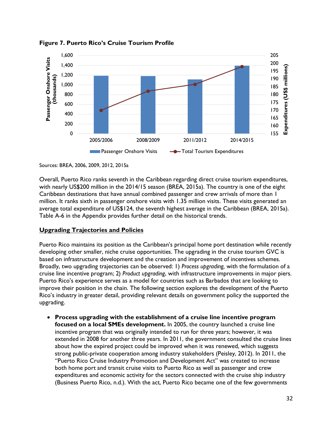

**Figure 7. Puerto Rico's Cruise Tourism Profile**

Sources: BREA, 2006, 2009, 2012, 2015a

Overall, Puerto Rico ranks seventh in the Caribbean regarding direct cruise tourism expenditures, with nearly US\$200 million in the 2014/15 season (BREA, 2015a). The country is one of the eight Caribbean destinations that have annual combined passenger and crew arrivals of more than 1 million. It ranks sixth in passenger onshore visits with 1.35 million visits. These visits generated an average total expenditure of US\$124, the seventh highest average in the Caribbean (BREA, 2015a). Table A-6 in the Appendix provides further detail on the historical trends.

#### **Upgrading Trajectories and Policies**

Puerto Rico maintains its position as the Caribbean's principal home port destination while recently developing other smaller, niche cruise opportunities. The upgrading in the cruise tourism GVC is based on infrastructure development and the creation and improvement of incentives schemes. Broadly, two upgrading trajectories can be observed: 1) *Process upgrading,* with the formulation of a cruise line incentive program; 2) *Product upgrading*, with infrastructure improvements in major piers. Puerto Rico's experience serves as a model for countries such as Barbados that are looking to improve their position in the chain. The following section explores the development of the Puerto Rico's industry in greater detail, providing relevant details on government policy the supported the upgrading.

• **Process upgrading with the establishment of a cruise line incentive program focused on a local SMEs development.** In 2005, the country launched a cruise line incentive program that was originally intended to run for three years; however, it was extended in 2008 for another three years. In 2011, the government consulted the cruise lines about how the expired project could be improved when it was renewed, which suggests strong public-private cooperation among industry stakeholders (Peisley, 2012). In 2011, the "Puerto Rico Cruise Industry Promotion and Development Act" was created to increase both home port and transit cruise visits to Puerto Rico as well as passenger and crew expenditures and economic activity for the sectors connected with the cruise ship industry (Business Puerto Rico, n.d.). With the act, Puerto Rico became one of the few governments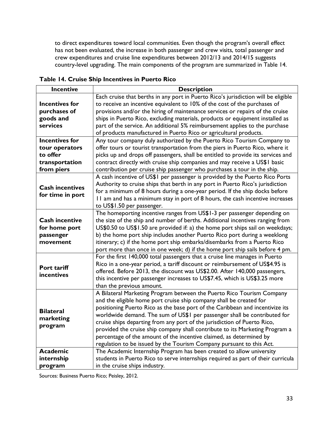to direct expenditures toward local communities. Even though the program's overall effect has not been evaluated, the increase in both passenger and crew visits, total passenger and crew expenditures and cruise line expenditures between 2012/13 and 2014/15 suggests country-level upgrading. The main components of the program are summarized in Table 14.

| <b>Incentive</b>       | <b>Description</b>                                                                 |
|------------------------|------------------------------------------------------------------------------------|
|                        | Each cruise that berths in any port in Puerto Rico's jurisdiction will be eligible |
| <b>Incentives for</b>  | to receive an incentive equivalent to 10% of the cost of the purchases of          |
| purchases of           | provisions and/or the hiring of maintenance services or repairs of the cruise      |
| goods and              | ships in Puerto Rico, excluding materials, products or equipment installed as      |
| services               | part of the service. An additional 5% reimbursement applies to the purchase        |
|                        | of products manufactured in Puerto Rico or agricultural products.                  |
| <b>Incentives for</b>  | Any tour company duly authorized by the Puerto Rico Tourism Company to             |
| tour operators         | offer tours or tourist transportation from the piers in Puerto Rico, where it      |
| to offer               | picks up and drops off passengers, shall be entitled to provide its services and   |
| transportation         | contract directly with cruise ship companies and may receive a US\$1 basic         |
| from piers             | contribution per cruise ship passenger who purchases a tour in the ship.           |
|                        | A cash incentive of US\$1 per passenger is provided by the Puerto Rico Ports       |
| <b>Cash incentives</b> | Authority to cruise ships that berth in any port in Puerto Rico's jurisdiction     |
|                        | for a minimum of 8 hours during a one-year period. If the ship docks before        |
| for time in port       | II am and has a minimum stay in port of 8 hours, the cash incentive increases      |
|                        | to US\$1.50 per passenger.                                                         |
|                        | The homeporting incentive ranges from US\$1-3 per passenger depending on           |
| <b>Cash incentive</b>  | the size of the ship and number of berths. Additional incentives ranging from      |
| for home port          | US\$0.50 to US\$1.50 are provided if: a) the home port ships sail on weekdays;     |
| passenger              | b) the home port ship includes another Puerto Rico port during a weeklong          |
| movement               | itinerary; c) if the home port ship embarks/disembarks from a Puerto Rico          |
|                        | port more than once in one week; d) if the home port ship sails before 4 pm.       |
|                        | For the first 140,000 total passengers that a cruise line manages in Puerto        |
| Port tariff            | Rico in a one-year period, a tariff discount or reimbursement of US\$4.95 is       |
| incentives             | offered. Before 2013, the discount was US\$2.00. After 140,000 passengers,         |
|                        | this incentive per passenger increases to US\$7.45, which is US\$3.25 more         |
|                        | than the previous amount.                                                          |
|                        | A Bilateral Marketing Program between the Puerto Rico Tourism Company              |
|                        | and the eligible home port cruise ship company shall be created for                |
| <b>Bilateral</b>       | positioning Puerto Rico as the base port of the Caribbean and incentivize its      |
|                        | worldwide demand. The sum of US\$1 per passenger shall be contributed for          |
| marketing              | cruise ships departing from any port of the jurisdiction of Puerto Rico,           |
| program                | provided the cruise ship company shall contribute to its Marketing Program a       |
|                        | percentage of the amount of the incentive claimed, as determined by                |
|                        | regulation to be issued by the Tourism Company pursuant to this Act.               |
| <b>Academic</b>        | The Academic Internship Program has been created to allow university               |
| internship             | students in Puerto Rico to serve internships required as part of their curricula   |
| program                | in the cruise ships industry.                                                      |

**Table 14. Cruise Ship Incentives in Puerto Rico**

Sources: Business Puerto Rico; Peisley, 2012.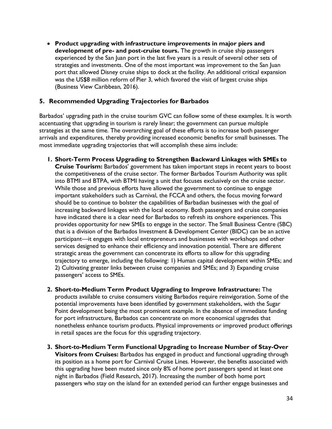• **Product upgrading with infrastructure improvements in major piers and development of pre- and post-cruise tours.** The growth in cruise ship passengers experienced by the San Juan port in the last five years is a result of several other sets of strategies and investments. One of the most important was improvement to the San Juan port that allowed Disney cruise ships to dock at the facility. An additional critical expansion was the US\$8 million reform of Pier 3, which favored the visit of largest cruise ships (Business View Caribbean, 2016).

#### **5. Recommended Upgrading Trajectories for Barbados**

Barbados' upgrading path in the cruise tourism GVC can follow some of these examples. It is worth accentuating that upgrading in tourism is rarely linear; the government can pursue multiple strategies at the same time. The overarching goal of these efforts is to increase both passenger arrivals and expenditures, thereby providing increased economic benefits for small businesses. The most immediate upgrading trajectories that will accomplish these aims include:

- **1. Short-Term Process Upgrading to Strengthen Backward Linkages with SMEs to Cruise Tourism:** Barbados' government has taken important steps in recent years to boost the competitiveness of the cruise sector. The former Barbados Tourism Authority was split into BTMI and BTPA, with BTMI having a unit that focuses exclusively on the cruise sector. While those and previous efforts have allowed the government to continue to engage important stakeholders such as Carnival, the FCCA and others, the focus moving forward should be to continue to bolster the capabilities of Barbadian businesses with the goal of increasing backward linkages with the local economy. Both passengers and cruise companies have indicated there is a clear need for Barbados to refresh its onshore experiences. This provides opportunity for new SMEs to engage in the sector. The Small Business Centre (SBC) that is a division of the Barbados Investment & Development Center (BIDC) can be an active participant—it engages with local entrepreneurs and businesses with workshops and other services designed to enhance their efficiency and innovation potential. There are different strategic areas the government can concentrate its efforts to allow for this upgrading trajectory to emerge, including the following: 1) Human capital development within SMEs; and 2) Cultivating greater links between cruise companies and SMEs; and 3) Expanding cruise passengers' access to SMEs.
- **2. Short-to-Medium Term Product Upgrading to Improve Infrastructure:** The products available to cruise consumers visiting Barbados require reinvigoration. Some of the potential improvements have been identified by government stakeholders, with the Sugar Point development being the most prominent example. In the absence of immediate funding for port infrastructure, Barbados can concentrate on more economical upgrades that nonetheless enhance tourism products. Physical improvements or improved product offerings in retail spaces are the focus for this upgrading trajectory.
- **3. Short-to-Medium Term Functional Upgrading to Increase Number of Stay-Over Visitors from Cruises:** Barbados has engaged in product and functional upgrading through its position as a home port for Carnival Cruise Lines. However, the benefits associated with this upgrading have been muted since only 8% of home port passengers spend at least one night in Barbados (Field Research, 2017). Increasing the number of both home port passengers who stay on the island for an extended period can further engage businesses and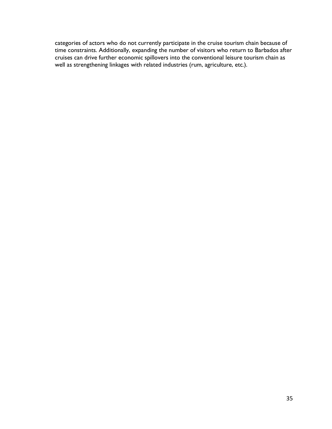categories of actors who do not currently participate in the cruise tourism chain because of time constraints. Additionally, expanding the number of visitors who return to Barbados after cruises can drive further economic spillovers into the conventional leisure tourism chain as well as strengthening linkages with related industries (rum, agriculture, etc.).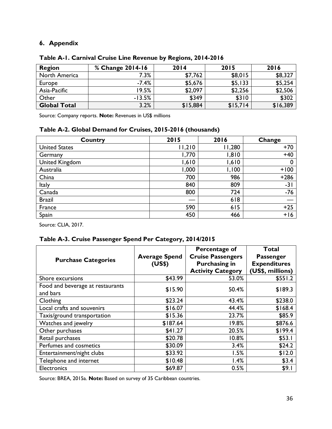## **6. Appendix**

| <b>Region</b>       | % Change 2014-16 | 2014     | 2015     | 2016     |
|---------------------|------------------|----------|----------|----------|
| North America       | 7.3%             | \$7,762  | \$8,015  | \$8,327  |
| Europe              | $-7.4%$          | \$5,676  | \$5,133  | \$5,254  |
| Asia-Pacific        | 19.5%            | \$2,097  | \$2,256  | \$2,506  |
| Other               | $-13.5%$         | \$349    | \$310    | \$302    |
| <b>Global Total</b> | 3.2%             | \$15,884 | \$15,714 | \$16,389 |

**Table A-1. Carnival Cruise Line Revenue by Regions, 2014-2016** 

Source: Company reports. **Note:** Revenues in US\$ millions

## **Table A-2. Global Demand for Cruises, 2015-2016 (thousands)**

| Country               | 2015   | 2016   | Change |
|-----------------------|--------|--------|--------|
| <b>United States</b>  | 11,210 | 11,280 | $+70$  |
| Germany               | 770,١  | 1,810  | $+40$  |
| <b>United Kingdom</b> | 1,610  | 1,610  | 0      |
| Australia             | 1,000  | 1,100  | $+100$ |
| China                 | 700    | 986    | $+286$ |
| Italy                 | 840    | 809    | $-31$  |
| Canada                | 800    | 724    | $-76$  |
| <b>Brazil</b>         |        | 618    |        |
| France                | 590    | 615    | $+25$  |
| Spain                 | 450    | 466    | $+16$  |

Source: CLIA, 2017.

## **Table A-3. Cruise Passenger Spend Per Category, 2014/2015**

|                                              | <b>Average Spend</b> | Percentage of<br><b>Cruise Passengers</b>        | Total<br><b>Passenger</b><br><b>Expenditures</b><br>(US\$, millions) |  |
|----------------------------------------------|----------------------|--------------------------------------------------|----------------------------------------------------------------------|--|
| <b>Purchase Categories</b>                   | (US\$)               | <b>Purchasing in</b><br><b>Activity Category</b> |                                                                      |  |
| Shore excursions                             | \$43.99              | 53.0%                                            | \$551.2                                                              |  |
| Food and beverage at restaurants<br>and bars | \$15.90              | 50.4%                                            | \$189.3                                                              |  |
| Clothing                                     | \$23.24              | 43.4%                                            | \$238.0                                                              |  |
| Local crafts and souvenirs                   | \$16.07              | 44.4%                                            | \$168.4                                                              |  |
| Taxis/ground transportation                  | \$15.36              | 23.7%                                            | \$85.9                                                               |  |
| Watches and jewelry                          | \$187.64             | 19.8%                                            | \$876.6                                                              |  |
| Other purchases                              | \$41.27              | 20.5%                                            | \$199.4                                                              |  |
| Retail purchases                             | \$20.78              | 10.8%                                            | \$53.1                                                               |  |
| Perfumes and cosmetics                       | \$30.09              | 3.4%                                             | \$24.2                                                               |  |
| Entertainment/night clubs                    | \$33.92              | 1.5%                                             | \$12.0                                                               |  |
| Telephone and internet                       | \$10.48              | 1.4%                                             | \$3.4                                                                |  |
| Electronics                                  | \$69.87              | 0.5%                                             | \$9.1                                                                |  |

Source: BREA, 2015a. **Note:** Based on survey of 35 Caribbean countries.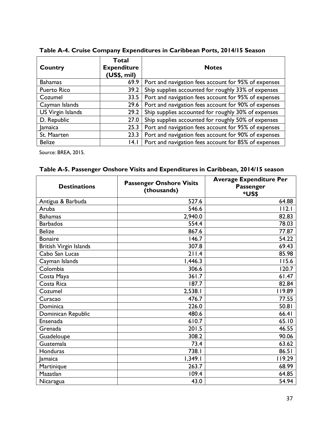**Table A-4. Cruise Company Expenditures in Caribbean Ports, 2014/15 Season**

| Country            | Total<br><b>Expenditure</b><br>(US\$, mil) | <b>Notes</b>                                         |  |
|--------------------|--------------------------------------------|------------------------------------------------------|--|
| <b>Bahamas</b>     | 69.9                                       | Port and navigation fees account for 95% of expenses |  |
| <b>Puerto Rico</b> | 39.2                                       | Ship supplies accounted for roughly 33% of expenses  |  |
| Cozumel            | 33.5                                       | Port and navigation fees account for 95% of expenses |  |
| Cayman Islands     | 29.6                                       | Port and navigation fees account for 90% of expenses |  |
| US Virgin Islands  | 29.2                                       | Ship supplies accounted for roughly 30% of expenses  |  |
| D. Republic        | 27.0                                       | Ship supplies accounted for roughly 50% of expenses  |  |
| <b>Jamaica</b>     | 25.3                                       | Port and navigation fees account for 95% of expenses |  |
| St. Maarten        | 23.3                                       | Port and navigation fees account for 90% of expenses |  |
| <b>Belize</b>      | 4.1                                        | Port and navigation fees account for 85% of expenses |  |

Source: BREA, 2015.

| <b>Destinations</b>    | <b>Passenger Onshore Visits</b><br>(thousands) | <b>Average Expenditure Per</b><br>Passenger<br>*US\$ |
|------------------------|------------------------------------------------|------------------------------------------------------|
| Antigua & Barbuda      | 527.6                                          | 64.88                                                |
| Aruba                  | 546.6                                          | 112.1                                                |
| <b>Bahamas</b>         | 2,940.0                                        | 82.83                                                |
| <b>Barbados</b>        | 554.4                                          | 78.03                                                |
| <b>Belize</b>          | 867.6                                          | 77.87                                                |
| <b>Bonaire</b>         | 146.7                                          | 54.22                                                |
| British Virgin Islands | 307.8                                          | 69.43                                                |
| Cabo San Lucas         | 211.4                                          | 85.98                                                |
| Cayman Islands         | 1,446.3                                        | 115.6                                                |
| Colombia               | 306.6                                          | 120.7                                                |
| Costa Maya             | 361.7                                          | 61.47                                                |
| Costa Rica             | 187.7                                          | 82.84                                                |
| Cozumel                | 2,538.1                                        | 119.89                                               |
| Curacao                | 476.7                                          | 77.55                                                |
| Dominica               | 226.0                                          | 50.81                                                |
| Dominican Republic     | 480.6                                          | 66.41                                                |
| Ensenada               | 610.7                                          | 65.10                                                |
| Grenada                | 201.5                                          | 46.55                                                |
| Guadeloupe             | 308.2                                          | 90.06                                                |
| Guatemala              | 73.4                                           | 63.62                                                |
| Honduras               | 738.I                                          | 86.51                                                |
| lamaica                | 1,349.1                                        | 119.29                                               |
| Martinique             | 263.7                                          | 68.99                                                |
| Mazatlan               | 109.4                                          | 64.85                                                |
| Nicaragua              | 43.0                                           | 54.94                                                |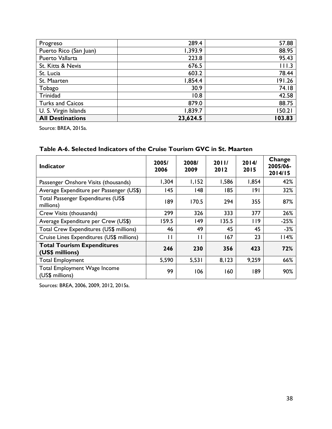| Progreso                | 289.4    | 57.88  |
|-------------------------|----------|--------|
| Puerto Rico (San Juan)  | 1,393.9  | 88.95  |
| Puerto Vallarta         | 223.8    | 95.43  |
| St. Kitts & Nevis       | 676.5    | 111.3  |
| St. Lucia               | 603.2    | 78.44  |
| St. Maarten             | 1,854.4  | 191.26 |
| Tobago                  | 30.9     | 74.18  |
| Trinidad                | 10.8     | 42.58  |
| <b>Turks and Caicos</b> | 879.0    | 88.75  |
| U. S. Virgin Islands    | 1,839.7  | 150.21 |
| <b>All Destinations</b> | 23,624.5 | 103.83 |

Source: BREA, 2015a.

|  | Table A-6. Selected Indicators of the Cruise Tourism GVC in St. Maarten |  |  |  |
|--|-------------------------------------------------------------------------|--|--|--|
|--|-------------------------------------------------------------------------|--|--|--|

| <b>Indicator</b>                                     | 2005/<br>2006 | 2008/<br>2009 | 2011/<br>2012 | 2014/<br>2015 | Change<br>2005/06-<br>2014/15 |
|------------------------------------------------------|---------------|---------------|---------------|---------------|-------------------------------|
| Passenger Onshore Visits (thousands)                 | 1,304         | 1,152         | 1,586         | 1,854         | 42%                           |
| Average Expenditure per Passenger (US\$)             | 145           | 48            | 185           | 191           | 32%                           |
| Total Passenger Expenditures (US\$<br>millions)      | 189           | 170.5         | 294           | 355           | 87%                           |
| Crew Visits (thousands)                              | 299           | 326           | 333           | 377           | 26%                           |
| Average Expenditure per Crew (US\$)                  | 159.5         | 149           | 135.5         | 119           | $-25%$                        |
| Total Crew Expenditures (US\$ millions)              | 46            | 49            | 45            | 45            | $-3%$                         |
| Cruise Lines Expenditures (US\$ millions)            | П             | П             | 167           | 23            | 114%                          |
| <b>Total Tourism Expenditures</b><br>(US\$ millions) | 246           | 230           | 356           | 423           | 72%                           |
| <b>Total Employment</b>                              | 5,590         | 5,531         | 8,123         | 9,259         | 66%                           |
| Total Employment Wage Income<br>(US\$ millions)      | 99            | 106           | 160           | 189           | 90%                           |

Sources: BREA, 2006, 2009, 2012, 2015a.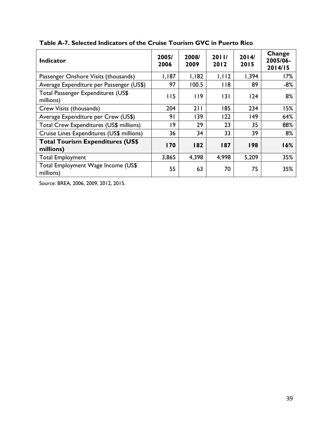| <b>Indicator</b>                                     | 2005/<br>2006 | 2008/<br>2009 | 2011/<br>2012 | 2014/<br>2015 | Change<br>2005/06-<br>2014/15 |
|------------------------------------------------------|---------------|---------------|---------------|---------------|-------------------------------|
| Passenger Onshore Visits (thousands)                 | 1,187         | 1,182         | 1,112         | 1,394         | 17%                           |
| Average Expenditure per Passenger (US\$)             | 97            | 100.5         | 118           | 89            | $-8%$                         |
| Total Passenger Expenditures (US\$<br>millions)      | 115           | 119           | 3             | 124           | 8%                            |
| Crew Visits (thousands)                              | 204           | 211           | 185           | 234           | 15%                           |
| Average Expenditure per Crew (US\$)                  | 91            | 139           | 122           | 149           | 64%                           |
| Total Crew Expenditures (US\$ millions)              | 19            | 29            | 23            | 35            | 88%                           |
| Cruise Lines Expenditures (US\$ millions)            | 36            | 34            | 33            | 39            | 8%                            |
| <b>Total Tourism Expenditures (US\$</b><br>millions) | <b>170</b>    | 182           | 187           | 198           | 16%                           |
| <b>Total Employment</b>                              | 3,865         | 4,398         | 4,998         | 5,209         | 35%                           |
| Total Employment Wage Income (US\$<br>millions)      | 55            | 63            | 70            | 75            | 35%                           |

## **Table A-7. Selected Indicators of the Cruise Tourism GVC in Puerto Rico**

Source: BREA, 2006, 2009, 2012, 2015.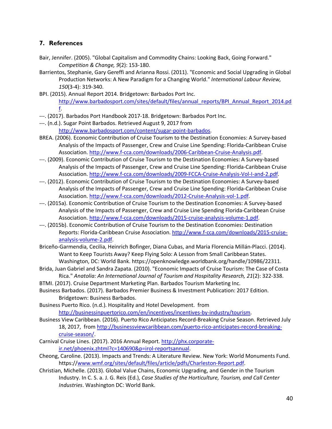#### **7. References**

- Bair, Jennifer. (2005). "Global Capitalism and Commodity Chains: Looking Back, Going Forward." *Competition & Change, 9*(2): 153-180.
- Barrientos, Stephanie, Gary Gereffi and Arianna Rossi. (2011). "Economic and Social Upgrading in Global Production Networks: A New Paradigm for a Changing World." *International Labour Review, 150*(3-4): 319-340.
- BPI. (2015). Annual Report 2014. Bridgetown: Barbados Port Inc. http://www.barbadosport.com/sites/default/files/annual\_reports/BPI\_Annual\_Report\_2014.pd f.
- ---. (2017). Barbados Port Handbook 2017-18. Bridgetown: Barbados Port Inc.
- ---. (n.d.). Sugar Point Barbados. Retrieved August 9, 2017 from http://www.barbadosport.com/content/sugar-point-barbados.
- BREA. (2006). Economic Contribution of Cruise Tourism to the Destination Economies: A Survey-based Analysis of the Impacts of Passenger, Crew and Cruise Line Spending: Florida-Caribbean Cruise Association. http://www.f-cca.com/downloads/2006-Caribbean-Cruise-Analysis.pdf.
- ---. (2009). Economic Contribution of Cruise Tourism to the Destination Economies: A Survey-based Analysis of the Impacts of Passenger, Crew and Cruise Line Spending: Florida-Caribbean Cruise Association. http://www.f-cca.com/downloads/2009-FCCA-Cruise-Analysis-Vol-I-and-2.pdf.
- ---. (2012). Economic Contribution of Cruise Tourism to the Destination Economies: A Survey-based Analysis of the Impacts of Passenger, Crew and Cruise Line Spending: Florida-Caribbean Cruise Association. http://www.f-cca.com/downloads/2012-Cruise-Analysis-vol-1.pdf.
- ---. (2015a). Economic Contribution of Cruise Tourism to the Destination Economies: A Survey-based Analysis of the Impacts of Passenger, Crew and Cruise Line Spending Florida-Caribbean Cruise Association. http://www.f-cca.com/downloads/2015-cruise-analysis-volume-1.pdf.
- ---. (2015b). Economic Contribution of Cruise Tourism to the Destination Economies: Destination Reports: Florida-Caribbean Cruise Association. http://www.f-cca.com/downloads/2015-cruiseanalysis-volume-2.pdf.
- Briceño-Garmendia, Cecilia, Heinrich Bofinger, Diana Cubas, and Maria Florencia Millán-Placci. (2014). Want to Keep Tourists Away? Keep Flying Solo: A Lesson from Small Caribbean States. Washington, DC: World Bank. https://openknowledge.worldbank.org/handle/10986/22311.
- Brida, Juan Gabriel and Sandra Zapata. (2010). "Economic Impacts of Cruise Tourism: The Case of Costa Rica." *Anatolia: An International Journal of Tourism and Hospitality Research, 21*(2): 322-338.
- BTMI. (2017). Cruise Department Marketing Plan. Barbados Tourism Marketing Inc.
- Business Barbados. (2017). Barbados Premier Business & Investment Publication: 2017 Edition. Bridgetown: Business Barbados.
- Business Puerto Rico. (n.d.). Hospitality and Hotel Development. from http://businessinpuertorico.com/en/incentives/incentives-by-industry/tourism.
- Business View Caribbean. (2016). Puerto Rico Anticipates Record-Breaking Cruise Season. Retrieved July 18, 2017, from http://businessviewcaribbean.com/puerto-rico-anticipates-record-breakingcruise-season/.
- Carnival Cruise Lines. (2017). 2016 Annual Report. http://phx.corporateir.net/phoenix.zhtml?c=140690&p=irol-reportsannual.
- Cheong, Caroline. (2013). Impacts and Trends: A Literature Review. New York: World Monuments Fund. https://www.wmf.org/sites/default/files/article/pdfs/Charleston-Report.pdf.
- Christian, Michelle. (2013). Global Value Chains, Economic Upgrading, and Gender in the Tourism Industry. In C. S. a. J. G. Reis (Ed.), *Case Studies of the Horticulture, Tourism, and Call Center Industries*. Washington DC: World Bank.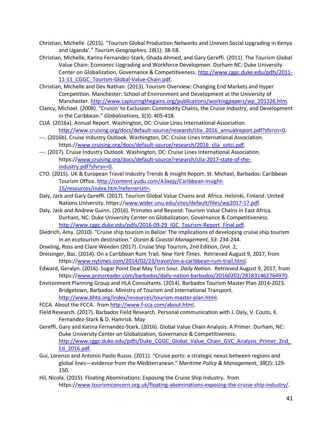- Christian, Michelle. (2015). "Tourism Global Production Networks and Uneven Social Upgrading in Kenya and Uganda'." *Tourism Geographies, 18*(1): 38-58.
- Christian, Michelle, Karina Fernandez-Stark, Ghada Ahmed, and Gary Gereffi. (2011). The Tourism Global Value Chain: Economic Upgrading and Workforce Developmen. Durham NC: Duke University Center on Globalization, Governance & Competitiveness. http://www.cggc.duke.edu/pdfs/2011- 11-11\_CGGC\_Tourism-Global-Value-Chain.pdf.
- Christian, Michelle and Dev Nathan. (2013). Tourism Overview: Changing End Markets and Hyper Competition. Manchester: School of Environment and Development at the University of Manchester. http://www.capturingthegains.org/publications/workingpapers/wp\_201326.htm.
- Clancy, Michael. (2008). "Cruisin' to Exclusion: Commodity Chains, the Cruise Industry, and Development in the Caribbean." *Globalizations, 5*(3): 405-418.
- CLIA. (2016a). Annual Report. Washington, DC: Cruise Lines International Association. http://www.cruising.org/docs/default-source/research/clia\_2016\_annualreport.pdf?sfvrsn=0.
- ---. (2016b). Cruise Industry Outlook. Washington, DC: Cruise Lines International Association. https://www.cruising.org/docs/default-source/research/2016 clia\_sotci.pdf.
- ---. (2017). Cruise Industry Outlook. Washington, DC: Cruise Lines International Association. https://www.cruising.org/docs/default-source/research/clia-2017-state-of-theindustry.pdf?sfvrsn=0.
- CTO. (2015). UK & European Travel Industry Trends & Insight Report. St. Michael, Barbados: Caribbean Tourism Office. http://content.yudu.com/A3xojy/Caribbean-Insight-15/resources/index.htm?referrerUrl=.
- Daly, Jack and Gary Gereffi. (2017). Tourism Global Value Chains and Africa. Helsinki, Finland: United Nations University. https://www.wider.unu.edu/sites/default/files/wp2017-17.pdf.
- Daly, Jack and Andrew Guinn. (2016). Primates and Beyond: Tourism Value Chains in East Africa. Durham, NC: Duke University Center on Globalization, Governance & Competitiveness. http://www.cggc.duke.edu/pdfs/2016-09-29\_IGC\_Tourism-Report\_Final.pdf.
- Diedrich, Amy. (2010). "Cruise ship tourism in Belize: The implications of developing cruise ship tourism in an ecotourism destination." *Ocean & Coastal Management, 53*: 234-244.
- Dowling, Ross and Clare Weeden (2017). Cruise Ship Tourism, 2nd Edition, (Vol. 2,
- Dreisinger, Baz. (2014). On a Caribbean Rum Trail*. New York Times*. Retrieved August 9, 2017, from https://www.nytimes.com/2014/02/23/travel/on-a-caribbean-rum-trail.html.
- Edward, Geralyn. (2016). Sugar Point Deal May Turn Sour*. Daily Nation*. Retrieved August 9, 2017, from https://www.pressreader.com/barbados/daily-nation-barbados/20160202/281831462764970.
- Environment Planning Group and HLA Consultants. (2014). Barbados Tourism Master Plan 2014-2023. Bridgetown, Barbados: Ministry of Tourism and International Transport. http://www.bhta.org/index/resources/tourism-master-plan.html.
- FCCA. About the FCCA. from http://www.f-cca.com/about.html.
- Field Research. (2017). Barbados Field Research. Personal communication with J. Daly, V. Couto, K. Fernandez-Stark & D. Hamrick. May
- Gereffi, Gary and Karina Fernandez-Stark. (2016). Global Value Chain Analysis: A Primer. Durham, NC: Duke University Center on Globalization, Governance & Competitiveness. http://www.cggc.duke.edu/pdfs/Duke\_CGGC\_Global\_Value\_Chain\_GVC\_Analysis\_Primer\_2nd\_ Ed\_2016.pdf.
- Gui, Lorenzo and Antonio Paolo Russo. (2011). "Cruise ports: a strategic nexus between regions and global lines—evidence from the Mediterranean." *Maritime Policy & Management, 38*(2): 129- 150.
- Hil, Nicola. (2015). Floating Abominations: Exposing the Cruise Ship Industry. from https://www.tourismconcern.org.uk/floating-abominations-exposing-the-cruise-ship-industry/.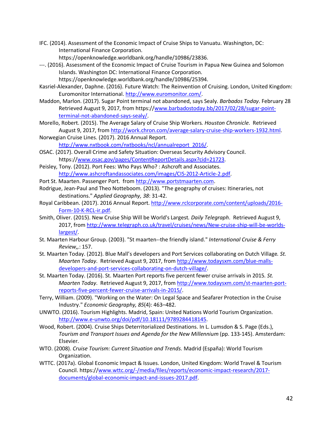- IFC. (2014). Assessment of the Economic Impact of Cruise Ships to Vanuatu. Washington, DC: International Finance Corporation. https://openknowledge.worldbank.org/handle/10986/23836.
- ---. (2016). Assessment of the Economic Impact of Cruise Tourism in Papua New Guinea and Solomon Islands. Washington DC: International Finance Corporation.
- https://openknowledge.worldbank.org/handle/10986/25394. Kasriel-Alexander, Daphne. (2016). Future Watch: The Reinvention of Cruising. London, United Kingdom: Euromonitor International. http://www.euromonitor.com/.
- Maddon, Marlon. (2017). Sugar Point terminal not abandoned, says Sealy*. Barbados Today*. February 28 Retrieved August 9, 2017, from https://www.barbadostoday.bb/2017/02/28/sugar-pointterminal-not-abandoned-says-sealy/.
- Morello, Robert. (2015). The Average Salary of Cruise Ship Workers*. Houston Chronicle*. Retrieved August 9, 2017, from http://work.chron.com/average-salary-cruise-ship-workers-1932.html.
- Norwegian Cruise Lines. (2017). 2016 Annual Report. http://www.nxtbook.com/nxtbooks/ncl/annualreport\_2016/.
- OSAC. (2017). Overall Crime and Safety Situation: Overseas Security Advisory Council. https://www.osac.gov/pages/ContentReportDetails.aspx?cid=21723.
- Peisley, Tony. (2012). Port Fees: Who Pays Who? : Ashcroft and Associates. http://www.ashcroftandassociates.com/images/CIS-2012-Article-2.pdf.
- Port St. Maarten. Passenger Port. from http://www.portstmaarten.com.
- Rodrigue, Jean-Paul and Theo Notteboom. (2013). "The geography of cruises: Itineraries, not destinations." *Applied Geography, 38*: 31-42.
- Royal Caribbean. (2017). 2016 Annual Report. http://www.rclcorporate.com/content/uploads/2016- Form-10-K-RCL-ir.pdf.
- Smith, Oliver. (2015). New Cruise Ship Will be World's Largest*. Daily Telegraph*. Retrieved August 9, 2017, from http://www.telegraph.co.uk/travel/cruises/news/New-cruise-ship-will-be-worldslargest/.
- St. Maarten Harbour Group. (2003). "St maarten--the friendly island." *International Cruise & Ferry Review,,*: 157.
- St. Maarten Today. (2012). Blue Mall's developers and Port Services collaborating on Dutch Village*. St. Maarten Today*. Retrieved August 9, 2017, from http://www.todaysxm.com/blue-mallsdevelopers-and-port-services-collaborating-on-dutch-village/.
- St. Maarten Today. (2016). St. Maarten Port reports five percent fewer cruise arrivals in 2015*. St. Maarten Today*. Retrieved August 9, 2017, from http://www.todaysxm.com/st-maarten-portreports-five-percent-fewer-cruise-arrivals-in-2015/.
- Terry, William. (2009). "Working on the Water: On Legal Space and Seafarer Protection in the Cruise Industry." *Economic Geography, 85*(4): 463–482.
- UNWTO. (2016). Tourism Highlights. Madrid, Spain: United Nations World Tourism Organization. http://www.e-unwto.org/doi/pdf/10.18111/9789284418145.
- Wood, Robert. (2004). Cruise Ships Deterritorialized Destinations. In L. Lumsdon & S. Page (Eds.), *Tourism and Transport Issues and Agenda for the New Millennium* (pp. 133-145). Amsterdam: Elsevier.
- WTO. (2008). *Cruise Tourism: Current Situation and Trends.* Madrid (España): World Tourism Organization.
- WTTC. (2017a). Global Economic Impact & Issues. London, United Kingdom: World Travel & Tourism Council. https://www.wttc.org/-/media/files/reports/economic-impact-research/2017 documents/global-economic-impact-and-issues-2017.pdf.